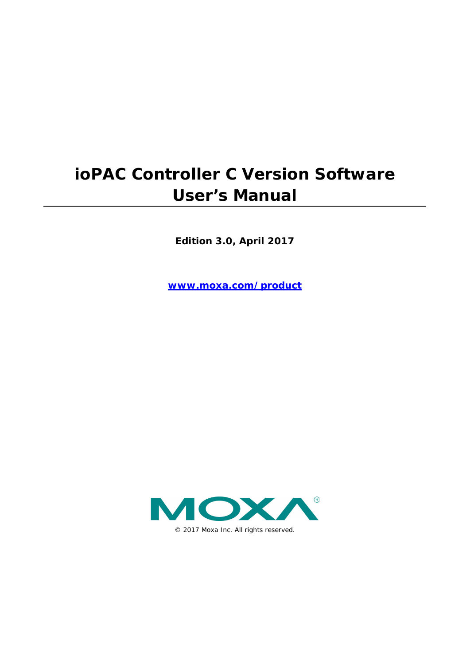# **ioPAC Controller C Version Software User's Manual**

**Edition 3.0, April 2017**

**www.moxa.com/product**

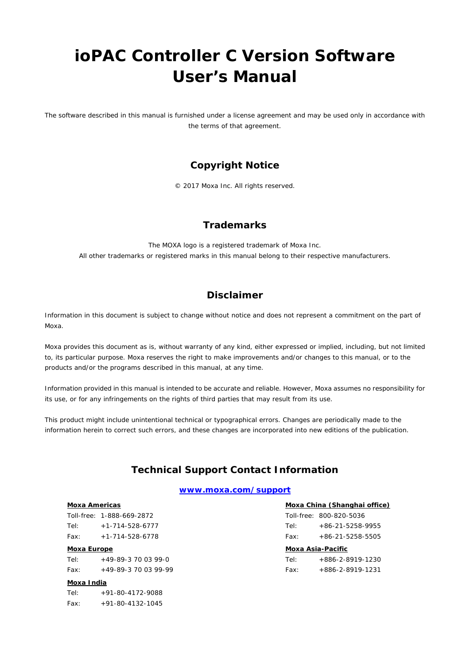# **ioPAC Controller C Version Software User's Manual**

The software described in this manual is furnished under a license agreement and may be used only in accordance with the terms of that agreement.

## **Copyright Notice**

© 2017 Moxa Inc. All rights reserved.

## **Trademarks**

The MOXA logo is a registered trademark of Moxa Inc. All other trademarks or registered marks in this manual belong to their respective manufacturers.

## **Disclaimer**

Information in this document is subject to change without notice and does not represent a commitment on the part of Moxa.

Moxa provides this document as is, without warranty of any kind, either expressed or implied, including, but not limited to, its particular purpose. Moxa reserves the right to make improvements and/or changes to this manual, or to the products and/or the programs described in this manual, at any time.

Information provided in this manual is intended to be accurate and reliable. However, Moxa assumes no responsibility for its use, or for any infringements on the rights of third parties that may result from its use.

This product might include unintentional technical or typographical errors. Changes are periodically made to the information herein to correct such errors, and these changes are incorporated into new editions of the publication.

## **Technical Support Contact Information**

### **www.moxa.com/support**

## **Moxa Americas**

Toll-free: 1-888-669-2872 Tel: +1-714-528-6777 Fax: +1-714-528-6778

#### **Moxa Europe**

Tel:  $+49-89-3$  70 03 99-0 Fax: +49-89-3 70 03 99-99

#### **Moxa India**

Tel: +91-80-4172-9088  $Fax: +91-80-4132-1045$ 

# **Moxa China (Shanghai office)**

|      | Toll-free: 800-820-5036 |
|------|-------------------------|
| Tel: | $+86-21-5258-9955$      |
| Fax: | $+86-21-5258-5505$      |

### **Moxa Asia-Pacific**

| Tel: | +886-2-8919-1230         |
|------|--------------------------|
| Fax: | $+886 - 2 - 8919 - 1231$ |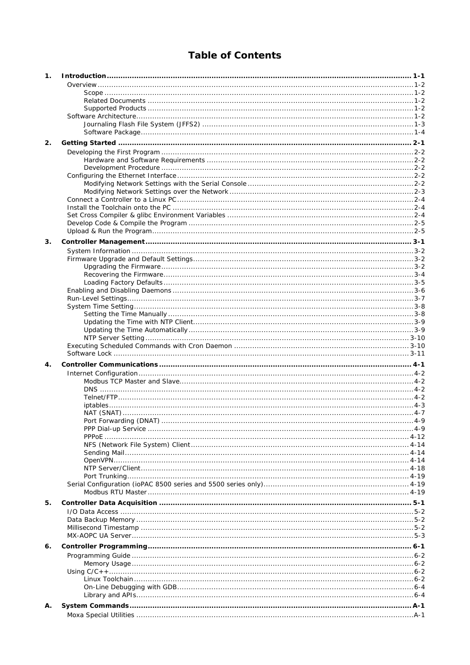# **Table of Contents**

| 1. |              |  |
|----|--------------|--|
|    |              |  |
|    |              |  |
|    |              |  |
|    |              |  |
|    |              |  |
|    |              |  |
|    |              |  |
| 2. |              |  |
|    |              |  |
|    |              |  |
|    |              |  |
|    |              |  |
|    |              |  |
|    |              |  |
|    |              |  |
|    |              |  |
|    |              |  |
|    |              |  |
| 3. |              |  |
|    |              |  |
|    |              |  |
|    |              |  |
|    |              |  |
|    |              |  |
|    |              |  |
|    |              |  |
|    |              |  |
|    |              |  |
|    |              |  |
|    |              |  |
|    |              |  |
| 4. |              |  |
|    |              |  |
|    |              |  |
|    |              |  |
|    |              |  |
|    |              |  |
|    |              |  |
|    |              |  |
|    | <b>PPPOF</b> |  |
|    |              |  |
|    |              |  |
|    |              |  |
|    |              |  |
|    |              |  |
|    |              |  |
| 5. |              |  |
|    |              |  |
|    |              |  |
|    |              |  |
|    |              |  |
| 6. |              |  |
|    |              |  |
|    |              |  |
|    |              |  |
|    |              |  |
|    |              |  |
| А. |              |  |
|    |              |  |
|    |              |  |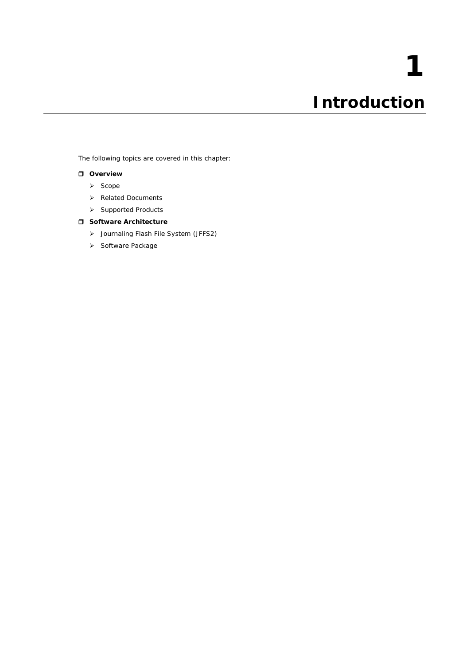<span id="page-3-0"></span>The following topics are covered in this chapter:

## **[Overview](#page-4-0)**

- $\triangleright$  [Scope](#page-4-1)
- > [Related Documents](#page-4-2)
- > [Supported Products](#page-4-3)

## **[Software Architecture](#page-4-4)**

- [Journaling Flash File System \(JFFS2\)](#page-5-0)
- > [Software Package](#page-6-0)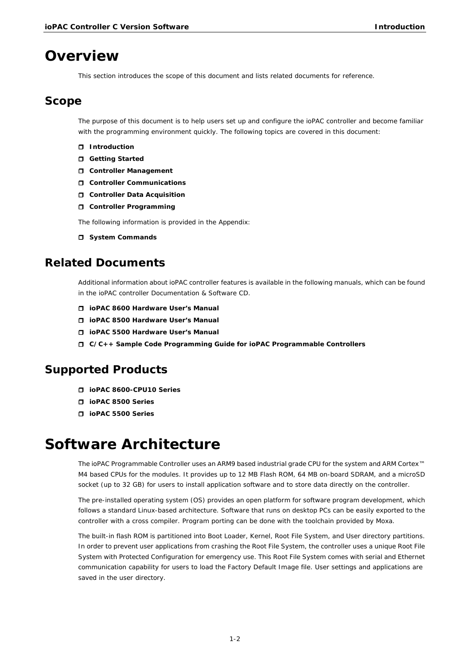# <span id="page-4-0"></span>**Overview**

This section introduces the scope of this document and lists related documents for reference.

## <span id="page-4-1"></span>**Scope**

The purpose of this document is to help users set up and configure the ioPAC controller and become familiar with the programming environment quickly. The following topics are covered in this document:

- **Introduction**
- **Getting Started**
- **Controller Management**
- **Controller Communications**
- **Controller Data Acquisition**
- **Controller Programming**

The following information is provided in the Appendix:

 $\Box$  System Commands

# <span id="page-4-2"></span>**Related Documents**

Additional information about ioPAC controller features is available in the following manuals, which can be found in the ioPAC controller Documentation & Software CD.

- **ioPAC 8600 Hardware User's Manual**
- **ioPAC 8500 Hardware User's Manual**
- **ioPAC 5500 Hardware User's Manual**
- **C/C++ Sample Code Programming Guide for ioPAC Programmable Controllers**

# <span id="page-4-3"></span>**Supported Products**

- **ioPAC 8600-CPU10 Series**
- **ioPAC 8500 Series**
- **ioPAC 5500 Series**

# <span id="page-4-4"></span>**Software Architecture**

The ioPAC Programmable Controller uses an ARM9 based industrial grade CPU for the system and ARM Cortex™ M4 based CPUs for the modules. It provides up to 12 MB Flash ROM, 64 MB on-board SDRAM, and a microSD socket (up to 32 GB) for users to install application software and to store data directly on the controller.

The pre-installed operating system (OS) provides an open platform for software program development, which follows a standard Linux-based architecture. Software that runs on desktop PCs can be easily exported to the controller with a cross compiler. Program porting can be done with the toolchain provided by Moxa.

The built-in flash ROM is partitioned into Boot Loader, Kernel, Root File System, and User directory partitions. In order to prevent user applications from crashing the Root File System, the controller uses a unique Root File System with Protected Configuration for emergency use. This Root File System comes with serial and Ethernet communication capability for users to load the Factory Default Image file. User settings and applications are saved in the user directory.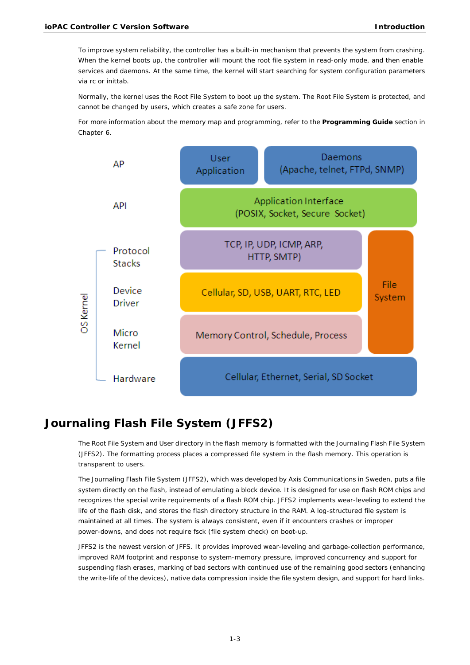To improve system reliability, the controller has a built-in mechanism that prevents the system from crashing. When the kernel boots up, the controller will mount the root file system in read-only mode, and then enable services and daemons. At the same time, the kernel will start searching for system configuration parameters via rc or inittab.

Normally, the kernel uses the Root File System to boot up the system. The Root File System is protected, and cannot be changed by users, which creates a safe zone for users.

For more information about the memory map and programming, refer to the **Programming Guide** section in Chapter 6.



# <span id="page-5-0"></span>**Journaling Flash File System (JFFS2)**

The Root File System and User directory in the flash memory is formatted with the Journaling Flash File System (JFFS2). The formatting process places a compressed file system in the flash memory. This operation is transparent to users.

The Journaling Flash File System (JFFS2), which was developed by Axis Communications in Sweden, puts a file system directly on the flash, instead of emulating a block device. It is designed for use on flash ROM chips and recognizes the special write requirements of a flash ROM chip. JFFS2 implements wear-leveling to extend the life of the flash disk, and stores the flash directory structure in the RAM. A log-structured file system is maintained at all times. The system is always consistent, even if it encounters crashes or improper power-downs, and does not require fsck (file system check) on boot-up.

JFFS2 is the newest version of JFFS. It provides improved wear-leveling and garbage-collection performance, improved RAM footprint and response to system-memory pressure, improved concurrency and support for suspending flash erases, marking of bad sectors with continued use of the remaining good sectors (enhancing the write-life of the devices), native data compression inside the file system design, and support for hard links.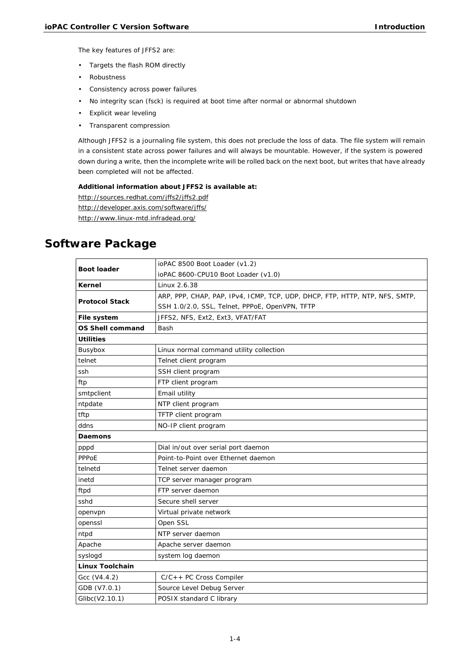The key features of JFFS2 are:

- Targets the flash ROM directly
- Robustness
- Consistency across power failures
- No integrity scan (fsck) is required at boot time after normal or abnormal shutdown
- Explicit wear leveling
- Transparent compression

Although JFFS2 is a journaling file system, this does not preclude the loss of data. The file system will remain in a consistent state across power failures and will always be mountable. However, if the system is powered down during a write, then the incomplete write will be rolled back on the next boot, but writes that have already been completed will not be affected.

## **Additional information about JFFS2 is available at:**

http://sources.redhat.com/jffs2/jffs2.pdf http://developer.axis.com/software/jffs/ http://www.linux-mtd.infradead.org/

# <span id="page-6-0"></span>**Software Package**

| <b>Boot loader</b>      | ioPAC 8500 Boot Loader (v1.2)                                               |  |  |
|-------------------------|-----------------------------------------------------------------------------|--|--|
|                         | ioPAC 8600-CPU10 Boot Loader (v1.0)                                         |  |  |
| Kernel                  | Linux 2.6.38                                                                |  |  |
| <b>Protocol Stack</b>   | ARP, PPP, CHAP, PAP, IPv4, ICMP, TCP, UDP, DHCP, FTP, HTTP, NTP, NFS, SMTP, |  |  |
|                         | SSH 1.0/2.0, SSL, Telnet, PPPoE, OpenVPN, TFTP                              |  |  |
| File system             | JFFS2, NFS, Ext2, Ext3, VFAT/FAT                                            |  |  |
| <b>OS Shell command</b> | Bash                                                                        |  |  |
| <b>Utilities</b>        |                                                                             |  |  |
| Busybox                 | Linux normal command utility collection                                     |  |  |
| telnet                  | Telnet client program                                                       |  |  |
| ssh                     | SSH client program                                                          |  |  |
| ftp                     | FTP client program                                                          |  |  |
| smtpclient              | Email utility                                                               |  |  |
| ntpdate                 | NTP client program                                                          |  |  |
| tftp                    | TFTP client program                                                         |  |  |
| ddns                    | NO-IP client program                                                        |  |  |
| <b>Daemons</b>          |                                                                             |  |  |
| pppd                    | Dial in/out over serial port daemon                                         |  |  |
| PPPoE                   | Point-to-Point over Ethernet daemon                                         |  |  |
| telnetd                 | Telnet server daemon                                                        |  |  |
| inetd                   | TCP server manager program                                                  |  |  |
| ftpd                    | FTP server daemon                                                           |  |  |
| sshd                    | Secure shell server                                                         |  |  |
| openvpn                 | Virtual private network                                                     |  |  |
| openssl                 | Open SSL                                                                    |  |  |
| ntpd                    | NTP server daemon                                                           |  |  |
| Apache                  | Apache server daemon                                                        |  |  |
| syslogd                 | system log daemon                                                           |  |  |
|                         |                                                                             |  |  |
| <b>Linux Toolchain</b>  |                                                                             |  |  |
| Gcc (V4.4.2)            | C/C++ PC Cross Compiler                                                     |  |  |
| GDB (V7.0.1)            | Source Level Debug Server                                                   |  |  |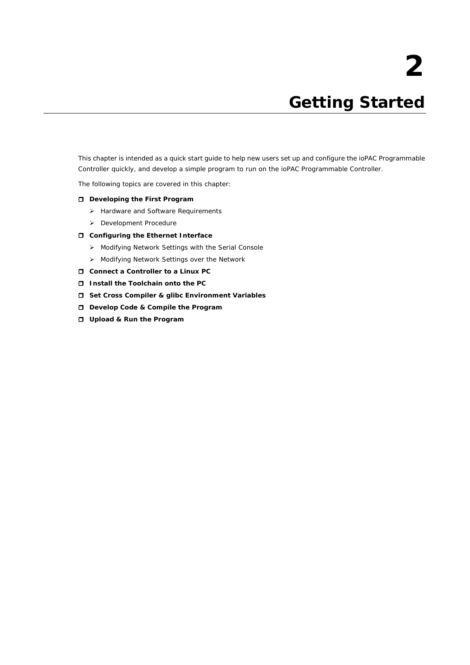# **2. Getting Started**

<span id="page-7-0"></span>This chapter is intended as a quick start guide to help new users set up and configure the ioPAC Programmable Controller quickly, and develop a simple program to run on the ioPAC Programmable Controller.

The following topics are covered in this chapter:

- **[Developing the First Program](#page-8-0)**
	- > [Hardware and Software Requirements](#page-8-1)
	- [Development Procedure](#page-8-2)
- **[Configuring the Ethernet Interface](#page-8-3)**
	- [Modifying Network Settings with the Serial Console](#page-8-4)
	- [Modifying Network Settings over the Network](#page-9-0)
- **[Connect a Controller](#page-10-0) to a Linux PC**
- **[Install the Toolchain onto the PC](#page-10-1)**
- **[Set Cross Compiler & glibc Environment Variables](#page-10-2)**
- **[Develop Code & Compile the Program](#page-11-0)**
- **[Upload & Run the Program](#page-11-1)**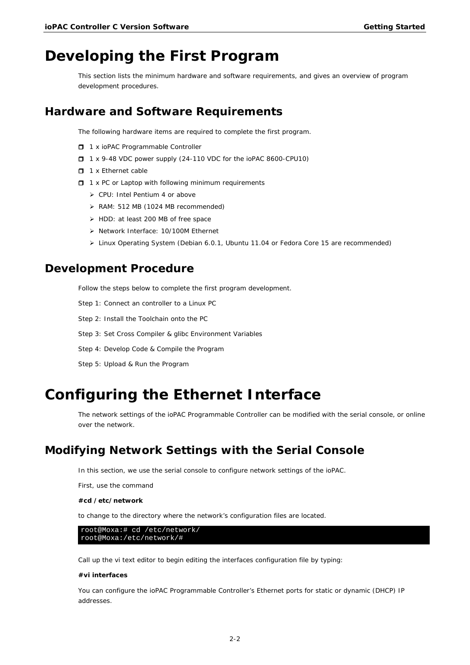# <span id="page-8-0"></span>**Developing the First Program**

This section lists the minimum hardware and software requirements, and gives an overview of program development procedures.

## <span id="page-8-1"></span>**Hardware and Software Requirements**

The following hardware items are required to complete the first program.

- □ 1 x ioPAC Programmable Controller
- □ 1 x 9-48 VDC power supply (24-110 VDC for the ioPAC 8600-CPU10)
- $\Box$  1 x Ethernet cable
- $\Box$  1 x PC or Laptop with following minimum requirements
	- CPU: Intel Pentium 4 or above
	- RAM: 512 MB (1024 MB recommended)
	- > HDD: at least 200 MB of free space
	- > Network Interface: 10/100M Ethernet
	- Linux Operating System (Debian 6.0.1, Ubuntu 11.04 or Fedora Core 15 are recommended)

## <span id="page-8-2"></span>**Development Procedure**

Follow the steps below to complete the first program development.

- Step 1: Connect an [controller to a Linux PC](#page-10-0)
- Step 2: [Install the Toolchain onto the PC](#page-10-1)
- Step 3: [Set Cross Compiler & glibc Environment Variables](#page-10-2)
- Step 4: [Develop Code & Compile the Program](#page-11-0)
- Step 5: [Upload & Run the Program](#page-11-1)

# <span id="page-8-3"></span>**Configuring the Ethernet Interface**

The network settings of the ioPAC Programmable Controller can be modified with the serial console, or online over the network.

# <span id="page-8-4"></span>**Modifying Network Settings with the Serial Console**

In this section, we use the serial console to configure network settings of the ioPAC.

First, use the command

#### **#cd /etc/network**

to change to the directory where the network's configuration files are located.

root@Moxa:# cd /etc/network/ root@Moxa:/etc/network/#

Call up the vi text editor to begin editing the interfaces configuration file by typing:

#### **#vi interfaces**

You can configure the ioPAC Programmable Controller's Ethernet ports for static or dynamic (DHCP) IP addresses.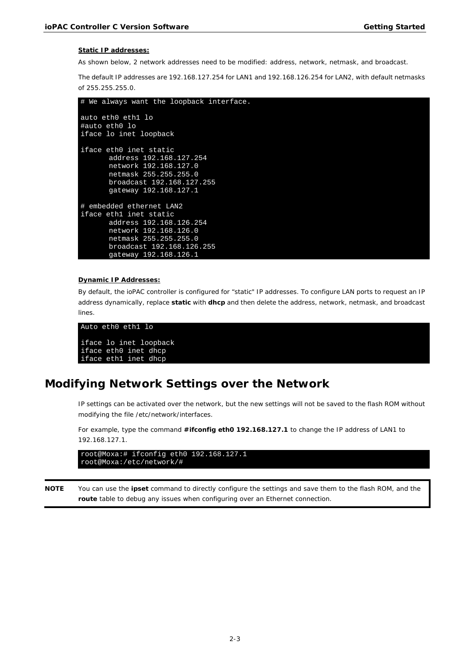#### **Static IP addresses:**

As shown below, 2 network addresses need to be modified: address, network, netmask, and broadcast.

The default IP addresses are 192.168.127.254 for LAN1 and 192.168.126.254 for LAN2, with default netmasks of 255.255.255.0.

```
# We always want the loopback interface.
auto eth0 eth1 lo
#auto eth0 lo
iface lo inet loopback
iface eth0 inet static
       address 192.168.127.254
       network 192.168.127.0
       netmask 255.255.255.0
       broadcast 192.168.127.255
       gateway 192.168.127.1
# embedded ethernet LAN2
iface eth1 inet static
 address 192.168.126.254
 network 192.168.126.0
       netmask 255.255.255.0
       broadcast 192.168.126.255
       gateway 192.168.126.1
```
### **Dynamic IP Addresses:**

By default, the ioPAC controller is configured for "static" IP addresses. To configure LAN ports to request an IP address dynamically, replace **static** with **dhcp** and then delete the address, network, netmask, and broadcast lines.

```
Auto eth0 eth1 lo
iface lo inet loopback
iface eth0 inet dhcp
iface eth1 inet dhcp
```
# <span id="page-9-0"></span>**Modifying Network Settings over the Network**

IP settings can be activated over the network, but the new settings will not be saved to the flash ROM without modifying the file /etc/network/interfaces.

For example, type the command **#ifconfig eth0 192.168.127.1** to change the IP address of LAN1 to 192.168.127.1.

```
root@Moxa:# ifconfig eth0 192.168.127.1
root@Moxa:/etc/network/#
```
**NOTE** You can use the **ipset** command to directly configure the settings and save them to the flash ROM, and the **route** table to debug any issues when configuring over an Ethernet connection.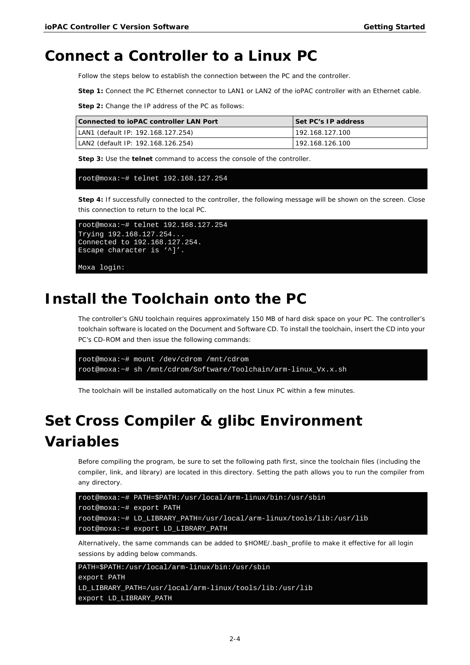# <span id="page-10-0"></span>**Connect a Controller to a Linux PC**

Follow the steps below to establish the connection between the PC and the controller.

**Step 1:** Connect the PC Ethernet connector to LAN1 or LAN2 of the ioPAC controller with an Ethernet cable.

**Step 2:** Change the IP address of the PC as follows:

| Connected to ioPAC controller LAN Port | Set PC's IP address |
|----------------------------------------|---------------------|
| LAN1 (default IP: 192.168.127.254)     | 192.168.127.100     |
| LAN2 (default IP: 192.168.126.254)     | 192.168.126.100     |

**Step 3:** Use the **telnet** command to access the console of the controller.

#### root@moxa:~# telnet 192.168.127.254

**Step 4:** If successfully connected to the controller, the following message will be shown on the screen. Close this connection to return to the local PC.

```
root@moxa:~# telnet 192.168.127.254
Trying 192.168.127.254...
Connected to 192.168.127.254.
Escape character is '^]'.
```
Moxa login:

# <span id="page-10-1"></span>**Install the Toolchain onto the PC**

The controller's GNU toolchain requires approximately 150 MB of hard disk space on your PC. The controller's toolchain software is located on the Document and Software CD. To install the toolchain, insert the CD into your PC's CD-ROM and then issue the following commands:

```
root@moxa:~# mount /dev/cdrom /mnt/cdrom
root@moxa:~# sh /mnt/cdrom/Software/Toolchain/arm-linux_Vx.x.sh
```
The toolchain will be installed automatically on the host Linux PC within a few minutes.

# <span id="page-10-2"></span>**Set Cross Compiler & glibc Environment Variables**

Before compiling the program, be sure to set the following path first, since the toolchain files (including the compiler, link, and library) are located in this directory. Setting the path allows you to run the compiler from any directory.

```
root@moxa:~# PATH=$PATH:/usr/local/arm-linux/bin:/usr/sbin
root@moxa:~# export PATH
root@moxa:~# LD_LIBRARY_PATH=/usr/local/arm-linux/tools/lib:/usr/lib
root@moxa:~# export LD_LIBRARY_PATH
```
Alternatively, the same commands can be added to \$HOME/.bash\_profile to make it effective for all login sessions by adding below commands.

```
PATH=$PATH:/usr/local/arm-linux/bin:/usr/sbin
export PATH
LD_LIBRARY_PATH=/usr/local/arm-linux/tools/lib:/usr/lib
export LD_LIBRARY_PATH
```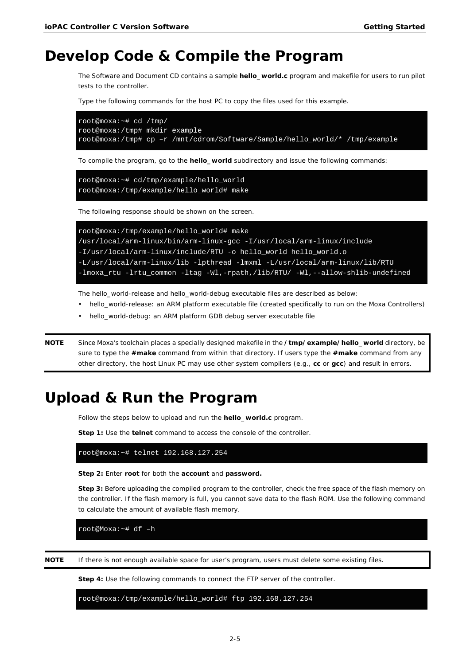# <span id="page-11-0"></span>**Develop Code & Compile the Program**

The Software and Document CD contains a sample **hello\_world.c** program and makefile for users to run pilot tests to the controller.

Type the following commands for the host PC to copy the files used for this example.

```
root@moxa:~# cd /tmp/
root@moxa:/tmp# mkdir example
root@moxa:/tmp# cp –r /mnt/cdrom/Software/Sample/hello_world/* /tmp/example
```
To compile the program, go to the **hello\_world** subdirectory and issue the following commands:

```
root@moxa:~# cd/tmp/example/hello_world
root@moxa:/tmp/example/hello_world# make
```
The following response should be shown on the screen.

```
root@moxa:/tmp/example/hello_world# make
/usr/local/arm-linux/bin/arm-linux-gcc -I/usr/local/arm-linux/include 
-I/usr/local/arm-linux/include/RTU -o hello_world hello_world.o 
-L/usr/local/arm-linux/lib -lpthread -lmxml -L/usr/local/arm-linux/lib/RTU 
-lmoxa_rtu -lrtu_common -ltag -Wl,-rpath,/lib/RTU/ -Wl,--allow-shlib-undefined
```
The hello\_world-release and hello\_world-debug executable files are described as below:

- hello\_world-release: an ARM platform executable file (created specifically to run on the Moxa Controllers)
- hello\_world-debug: an ARM platform GDB debug server executable file

**NOTE** Since Moxa's toolchain places a specially designed makefile in the **/tmp/example/hello\_world** directory, be sure to type the **#make** command from within that directory. If users type the **#make** command from any other directory, the host Linux PC may use other system compilers (e.g., **cc** or **gcc**) and result in errors.

# <span id="page-11-1"></span>**Upload & Run the Program**

Follow the steps below to upload and run the **hello\_world.c** program.

**Step 1:** Use the **telnet** command to access the console of the controller.

root@moxa:~# telnet 192.168.127.254

**Step 2:** Enter **root** for both the **account** and **password.**

**Step 3:** Before uploading the compiled program to the controller, check the free space of the flash memory on the controller. If the flash memory is full, you cannot save data to the flash ROM. Use the following command to calculate the amount of available flash memory.

root@Moxa:~# df –h

**NOTE** If there is not enough available space for user's program, users must delete some existing files.

**Step 4:** Use the following commands to connect the FTP server of the controller.

root@moxa:/tmp/example/hello\_world# ftp 192.168.127.254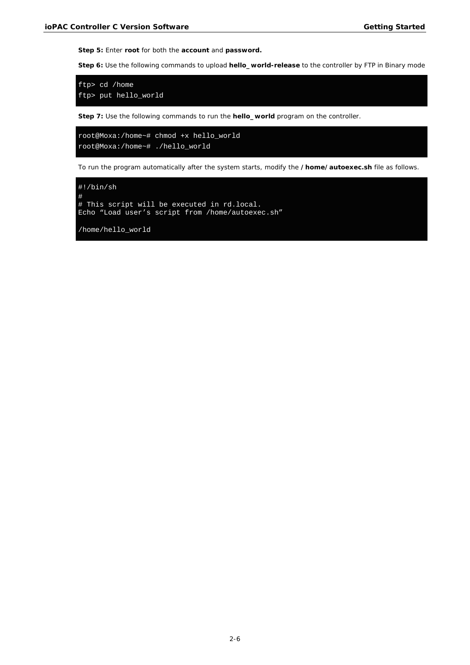**Step 5:** Enter **root** for both the **account** and **password.**

**Step 6:** Use the following commands to upload **hello\_world-release** to the controller by FTP in Binary mode

```
ftp> cd /home
ftp> put hello_world
```
**Step 7:** Use the following commands to run the **hello\_world** program on the controller.

```
root@Moxa:/home~# chmod +x hello_world
root@Moxa:/home~# ./hello_world
```
To run the program automatically after the system starts, modify the **/home/autoexec.sh** file as follows.

#!/bin/sh # # This script will be executed in rd.local. Echo "Load user's script from /home/autoexec.sh"

/home/hello\_world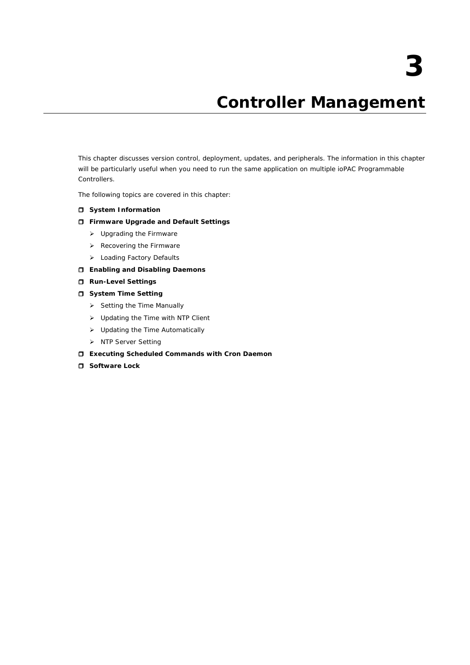# **3. Controller Management**

<span id="page-13-0"></span>This chapter discusses version control, deployment, updates, and peripherals. The information in this chapter will be particularly useful when you need to run the same application on multiple ioPAC Programmable Controllers.

The following topics are covered in this chapter:

### **[System Information](#page-14-0)**

## **[Firmware Upgrade and Default Settings](#page-14-1)**

- Upgrading [the Firmware](#page-14-2)
- $\triangleright$  [Recovering the Firmware](#page-16-0)
- > [Loading Factory Defaults](#page-17-0)
- **[Enabling and Disabling Daemons](#page-18-0)**
- **[Run-Level Settings](#page-19-0)**
- $\Box$  [System Time Setting](#page-20-0)
	- $\triangleright$  [Setting the Time Manually](#page-20-1)
	- > [Updating the Time with NTP Client](#page-21-0)
	- [Updating the Time Automatically](#page-21-1)
	- > [NTP Server Setting](#page-22-0)
- **[Executing Scheduled Commands with Cron Daemon](#page-22-1)**
- **[Software Lock](#page-23-0)**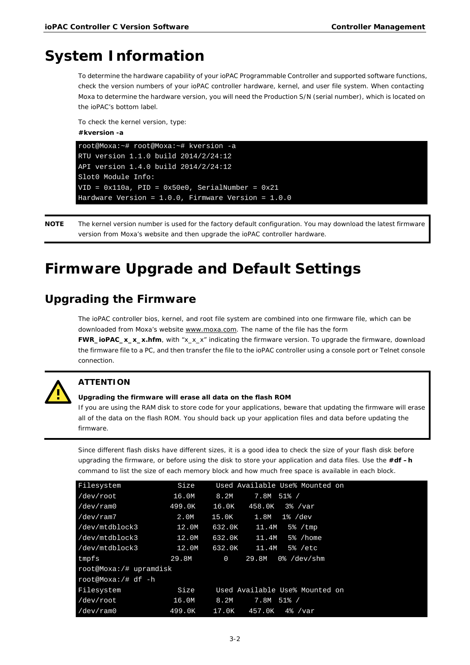# <span id="page-14-0"></span>**System Information**

To determine the hardware capability of your ioPAC Programmable Controller and supported software functions, check the version numbers of your ioPAC controller hardware, kernel, and user file system. When contacting Moxa to determine the hardware version, you will need the Production S/N (serial number), which is located on the ioPAC's bottom label.

To check the kernel version, type:

## **#kversion -a**

```
root@Moxa:~# root@Moxa:~# kversion -a
RTU version 1.1.0 build 2014/2/24:12
API version 1.4.0 build 2014/2/24:12
Slot0 Module Info:
VID = 0x110a, PID = 0x50e0, SerialNumber = 0x21Hardware Version = 1.0.0, Firmware Version = 1.0.0
```
**NOTE** The kernel version number is used for the factory default configuration. You may download the latest firmware version from Moxa's website and then upgrade the ioPAC controller hardware.

# <span id="page-14-1"></span>**Firmware Upgrade and Default Settings**

# <span id="page-14-2"></span>**Upgrading the Firmware**

The ioPAC controller bios, kernel, and root file system are combined into one firmware file, which can be downloaded from Moxa's website www.moxa.com. The name of the file has the form

**FWR\_ioPAC\_x\_x\_x.hfm**, with "x\_x\_x" indicating the firmware version. To upgrade the firmware, download the firmware file to a PC, and then transfer the file to the ioPAC controller using a console port or Telnet console connection.



## **ATTENTION**

### **Upgrading the firmware will erase all data on the flash ROM**

If you are using the RAM disk to store code for your applications, beware that updating the firmware will erase all of the data on the flash ROM. You should back up your application files and data before updating the firmware.

Since different flash disks have different sizes, it is a good idea to check the size of your flash disk before upgrading the firmware, or before using the disk to store your application and data files. Use the **#df –h**  command to list the size of each memory block and how much free space is available in each block.

| Filesystem             | Size   | Used Available Use% Mounted on         |
|------------------------|--------|----------------------------------------|
| /dev/root              | 16.0M  | 8.2M<br>$7.8M$ 51% /                   |
| /dev/ram0              | 499.OK | 16.0K<br>458.OK<br>3% /var             |
| /dev/ram7              | 2.OM   | 15.OK<br>1.8M<br>1% /dev               |
| /dev/mtdblock3         | 12.0M  | 632.0K<br>11.4M<br>$5\%$ / tmp         |
| /dev/mtdblock3         | 12.0M  | 632.0K<br>11.4M<br>5% / home           |
| /dev/mtdblock3         | 12.OM  | 632.0K<br>11.4M<br>$5\%$ /etc          |
| tmpfs                  | 29.8M  | $\mathbf 0$<br>29.8M<br>$0\%$ /dev/shm |
| root@Moxa:/# upramdisk |        |                                        |
| root@Moxa:/# df -h     |        |                                        |
| Filesystem             | Size   | Used Available Use% Mounted on         |
| /dev/root              | 16.0M  | 8.2M<br>7.8M 51% /                     |
| /dev/ram0              | 499.OK | 17.0K<br>$4\%$ /var<br>457.0K          |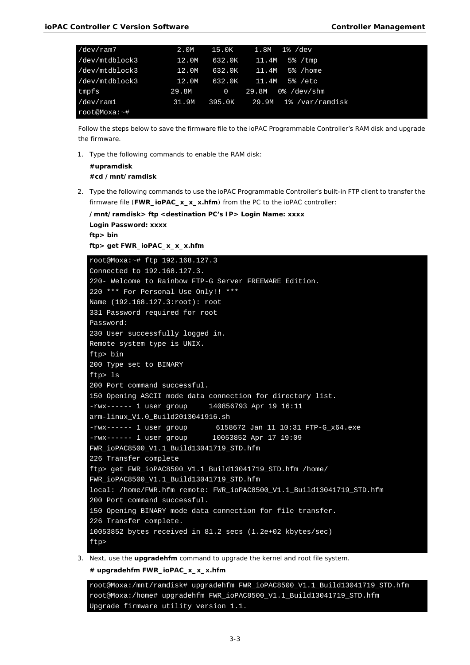| /dev/ram7      | 2.0M  | 15.OK       | 1% /dev<br>1.8M               |  |
|----------------|-------|-------------|-------------------------------|--|
| /dev/mtdblock3 | 12.0M | 632.0K      | 11.4M<br>$5\%$ / $\tt{mp}$    |  |
| /dev/mtdblock3 | 12.0M | 632.0K      | 11.4M<br>5% /home             |  |
| /dev/mtdblock3 | 12.0M | 632.0K      | 11.4M<br>5% /etc              |  |
| tmpfs          | 29.8M | $\mathbf 0$ | 0 %<br>29.8M<br>/dev/shm      |  |
| /dev/ram1      | 31.9M |             | 395.0K 29.9M 1% / var/ramdisk |  |
| root@Moxa:~#   |       |             |                               |  |

Follow the steps below to save the firmware file to the ioPAC Programmable Controller's RAM disk and upgrade the firmware.

1. Type the following commands to enable the RAM disk:

**/mnt/ramdisk> ftp <destination PC's IP> Login Name: xxxx**

```
#upramdisk
#cd /mnt/ramdisk
```
2. Type the following commands to use the ioPAC Programmable Controller's built-in FTP client to transfer the firmware file (**FWR\_ioPAC\_x\_x\_x.hfm**) from the PC to the ioPAC controller:

```
Login Password: xxxx
ftp> bin
ftp> get FWR_ioPAC_x_x_x.hfm
root@Moxa:~# ftp 192.168.127.3
Connected to 192.168.127.3.
220- Welcome to Rainbow FTP-G Server FREEWARE Edition.
220 *** For Personal Use Only!! ***
Name (192.168.127.3:root): root
331 Password required for root
Password:
230 User successfully logged in.
Remote system type is UNIX.
ftp> bin
200 Type set to BINARY
ftp> ls
200 Port command successful.
150 Opening ASCII mode data connection for directory list.
-rwx------ 1 user group 140856793 Apr 19 16:11 
arm-linux_V1.0_Build2013041916.sh
-rwx------ 1 user group 6158672 Jan 11 10:31 FTP-G_x64.exe
-rwx------ 1 user group 10053852 Apr 17 19:09
FWR_ioPAC8500_V1.1_Build13041719_STD.hfm
226 Transfer complete
ftp> get FWR_ioPAC8500_V1.1_Build13041719_STD.hfm /home/ 
FWR_ioPAC8500_V1.1_Build13041719_STD.hfm
local: /home/FWR.hfm remote: FWR ioPAC8500 V1.1 Build13041719 STD.hfm
200 Port command successful.
150 Opening BINARY mode data connection for file transfer. 
226 Transfer complete.
10053852 bytes received in 81.2 secs (1.2e+02 kbytes/sec)
ftp>
```
3. Next, use the **upgradehfm** command to upgrade the kernel and root file system. **# upgradehfm FWR\_ioPAC\_x\_x\_x.hfm**

```
root@Moxa:/mnt/ramdisk# upgradehfm FWR_ioPAC8500_V1.1_Build13041719_STD.hfm
root@Moxa:/home# upgradehfm FWR_ioPAC8500_V1.1_Build13041719_STD.hfm
Upgrade firmware utility version 1.1.
```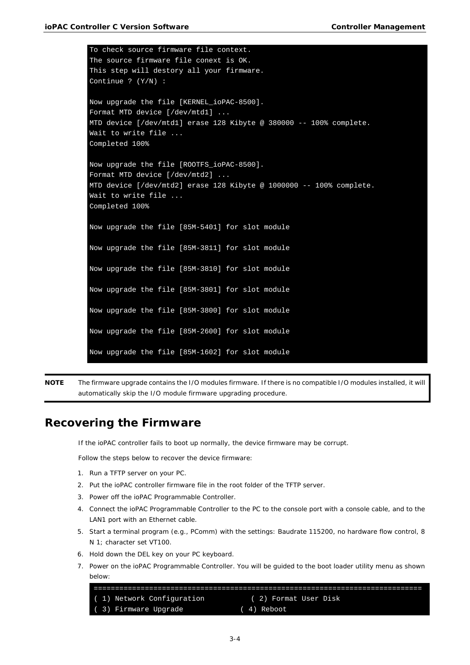```
To check source firmware file context.
The source firmware file conext is OK.
This step will destory all your firmware.
Continue ? (Y/N) :
Now upgrade the file [KERNEL_ioPAC-8500].
Format MTD device [/dev/mtd1] ...
MTD device [/dev/mtd1] erase 128 Kibyte @ 380000 -- 100% complete.
Wait to write file ...
Completed 100%
Now upgrade the file [ROOTFS_ioPAC-8500].
Format MTD device [/dev/mtd2] ...
MTD device [/dev/mtd2] erase 128 Kibyte @ 1000000 -- 100% complete.
Wait to write file ...
Completed 100%
Now upgrade the file [85M-5401] for slot module
Now upgrade the file [85M-3811] for slot module
Now upgrade the file [85M-3810] for slot module
Now upgrade the file [85M-3801] for slot module
Now upgrade the file [85M-3800] for slot module
Now upgrade the file [85M-2600] for slot module
Now upgrade the file [85M-1602] for slot module
```
**NOTE** The firmware upgrade contains the I/O modules firmware. If there is no compatible I/O modules installed, it will automatically skip the I/O module firmware upgrading procedure.

## <span id="page-16-0"></span>**Recovering the Firmware**

If the ioPAC controller fails to boot up normally, the device firmware may be corrupt.

Follow the steps below to recover the device firmware:

- 1. Run a TFTP server on your PC.
- 2. Put the ioPAC controller firmware file in the root folder of the TFTP server.
- 3. Power off the ioPAC Programmable Controller.
- 4. Connect the ioPAC Programmable Controller to the PC to the console port with a console cable, and to the LAN1 port with an Ethernet cable.
- 5. Start a terminal program (e.g., PComm) with the settings: Baudrate 115200, no hardware flow control, 8 N 1; character set VT100.
- 6. Hold down the DEL key on your PC keyboard.
- 7. Power on the ioPAC Programmable Controller. You will be guided to the boot loader utility menu as shown below:

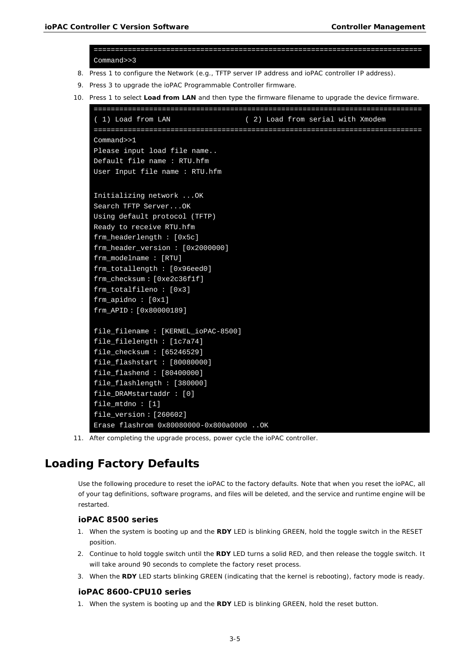```
=============================================================================
    Command>>3 
8. Press 1 to configure the Network (e.g., TFTP server IP address and ioPAC controller IP address).
9. Press 3 to upgrade the ioPAC Programmable Controller firmware.
10. Press 1 to select Load from LAN and then type the firmware filename to upgrade the device firmware.
    =============================================================================
     ( 1) Load from LAN ( 2) Load from serial with Xmodem 
    =============================================================================
    Command>>1 
    Please input load file name.. 
    Default file name : RTU.hfm 
    User Input file name : RTU.hfm
     Initializing network ...OK
    Search TFTP Server...OK
    Using default protocol (TFTP)
    Ready to receive RTU.hfm
     frm_headerlength : [0x5c]
     frm_header_version : [0x2000000]
     frm_modelname : [RTU]
     frm_totallength : [0x96eed0]
     frm_checksum : [0xe2c36f1f]
     frm_totalfileno : [0x3]
     frm_apidno : [0x1]
     frm_APID : [0x80000189]
     file_filename : [KERNEL_ioPAC-8500]
     file_filelength : [1c7a74]
     file_checksum : [65246529]
     file_flashstart : [80080000]
     file_flashend : [80400000]
     file_flashlength : [380000]
    file_DRAMstartaddr : [0]
    file_mtdno : [1]
    file_version : [260602]
     Erase flashrom 0x80080000-0x800a0000 ..OK
```
11. After completing the upgrade process, power cycle the ioPAC controller.

# <span id="page-17-0"></span>**Loading Factory Defaults**

Use the following procedure to reset the ioPAC to the factory defaults. Note that when you reset the ioPAC, all of your tag definitions, software programs, and files will be deleted, and the service and runtime engine will be restarted.

## **ioPAC 8500 series**

- 1. When the system is booting up and the **RDY** LED is blinking GREEN, hold the toggle switch in the RESET position.
- 2. Continue to hold toggle switch until the **RDY** LED turns a solid RED, and then release the toggle switch. It will take around 90 seconds to complete the factory reset process.
- 3. When the **RDY** LED starts blinking GREEN (indicating that the kernel is rebooting), factory mode is ready.

## **ioPAC 8600-CPU10 series**

1. When the system is booting up and the **RDY** LED is blinking GREEN, hold the reset button.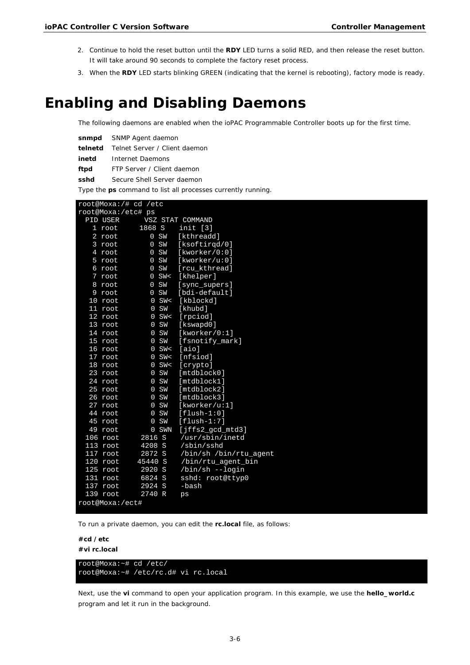- 2. Continue to hold the reset button until the **RDY** LED turns a solid RED, and then release the reset button. It will take around 90 seconds to complete the factory reset process.
- 3. When the **RDY** LED starts blinking GREEN (indicating that the kernel is rebooting), factory mode is ready.

# <span id="page-18-0"></span>**Enabling and Disabling Daemons**

The following daemons are enabled when the ioPAC Programmable Controller boots up for the first time.

| snmpd | SNMP Agent daemon                            |
|-------|----------------------------------------------|
|       | <b>telnetd</b> Telnet Server / Client daemon |
| inetd | Internet Daemons                             |
| ftpd  | FTP Server / Client daemon                   |
| sshd  | Secure Shell Server daemon                   |

Type the **ps** command to list all processes currently running.

| root@Moxa:/# cd /etc |           |                        |
|----------------------|-----------|------------------------|
| root@Moxa:/etc# ps   |           |                        |
| PID USER             |           | VSZ STAT COMMAND       |
| 1 root               | 1868 S    | init [3]               |
| 2 root               | 0 S W     | [kthreadd]             |
| 3 root               | 0 S W     | [ksoftirgd/0]          |
| 4 root               | 0 S W     | [kworker/0:0]          |
| 5 root               | 0 S       | [kworker/u:0]          |
| 6 root               | 0 S W     | [rcu kthread]          |
| 7 root               | $0$ SW<   | [khelper]              |
| 8 root               | 0 S W     | [sync_supers]          |
| 9 root               | 0 S W     | [bdi-default]          |
| 10 root              | SW <<br>0 | [kblockd]              |
| 11 root              | SW<br>0   | [khubd]                |
| $12$ root            | SW <<br>0 | [rpciod]               |
| 13 root              | SW<br>0   | [kswapd0]              |
| $14$ root            | 0 S W     | [kworker/0:1]          |
| 15 root              | 0 S W     | [fsnotify_mark]        |
| 16 root              | $0$ SW<   | [aio]                  |
| 17 root              | $0$ SW<   | [nfsiod]               |
| 18 root              | $0$ SW<   | [crypto]               |
| 23 root              | 0 S W     | [mtdblock0]            |
| 24 root              | 0 S W     | [mtdblock1]            |
| $25$ root            | 0 S W     | [mtdblock2]            |
| 26 root              | 0 S W     | [mtdblock3]            |
| $27$ root            | 0 S W     | [kworker/u:1]          |
| 44 root              | 0 S W     | $[flush-1:0]$          |
| 45 root              | 0 S W     | $[flush-1:7]$          |
| 49 root              | 0 SWN     | $[$ jffs2_qcd_mtd3]    |
| 106 root             | 2816 S    | /usr/sbin/inetd        |
| 113 root             | 4208 S    | /sbin/sshd             |
| $117$ root           | 2872 S    | /bin/sh /bin/rtu_agent |
| 120 root             | 45440 S   | /bin/rtu_agent_bin     |
| 125 root             | 2920 S    | /bin/sh --login        |
| 131 root             | 6824 S    | sshd: root@ttyp0       |
| $137$ root           | 2924 S    | -bash                  |
| $139$ root           | 2740 R    | ps                     |
| root@Moxa:/ect#      |           |                        |

To run a private daemon, you can edit the **rc.local** file, as follows:

```
#cd /etc
```
**#vi rc.local**

root@Moxa:~# cd /etc/ root@Moxa:~# /etc/rc.d# vi rc.local

Next, use the **vi** command to open your application program. In this example, we use the **hello\_world.c** program and let it run in the background.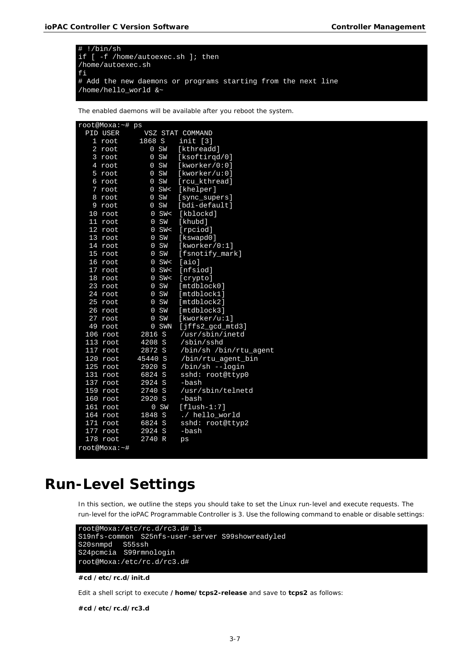

The enabled daemons will be available after you reboot the system.

| root@Moxa:~# ps  |                   |                           |
|------------------|-------------------|---------------------------|
| PID USER         |                   | VSZ STAT COMMAND          |
| 1 root           | 1868 S            | init [3]                  |
| $2 \text{ root}$ | 0 S W             | [kthreadd]                |
| 3 root           | 0 S W             | [ksoftirgd/0]             |
| 4 root           | 0 S W             | [kworker/0:0]             |
| $5$ root         | 0 S W             | [kworker/u:0]             |
| 6 root           | 0 S W             | [rcu kthread]             |
| 7 root           | $0$ SW<           | [khelper]                 |
| 8 root           | 0 S W             | [sync_supers]             |
| 9 root           | 0 S W             | [bdi-default]             |
| 10 root          | $0$ SW<           | [kblockd]                 |
| 11 root          | 0 S W             | [khubd]                   |
| 12 root          | $0$ SW<           | [rpciod]                  |
| 13 root          | 0 S W             | [kswapd0]                 |
| 14 root          | 0 S W             | [kworker/0:1]             |
| 15 root          | 0 S W             | [fsnotify_mark]           |
| 16 root          | $0$ SW<           | [aio]                     |
| 17 root          | $0$ SW<           | [nfsiod]                  |
| 18 root          | $0$ SW<           | [crypto]                  |
| 23 root          | 0 S W             | [mtdblock0]               |
| 24 root          | 0 S W             | [mtdblock1]               |
| 25 root          | 0 S W             | [mtdblock2]               |
| 26 root          | 0 S W             | [mtdblock3]               |
| 27 root          | SW<br>$\mathbf 0$ | [kworker/u:1]             |
| 49 root          | 0 SWN             | $[$ jffs $2$ qcd mtd $3]$ |
| 106 root         | 2816 S            | /usr/sbin/inetd           |
| $113$ root       | 4208 S            | /sbin/sshd                |
| $117$ root       | 2872 S            | /bin/sh /bin/rtu_agent    |
| $120$ root       | 45440 S           | /bin/rtu_agent_bin        |
| 125 root         | 2920 S            | /bin/sh --login           |
| 131 root         | 6824 S            | sshd: root@ttyp0          |
| 137 root         | 2924 S            | -bash                     |
| $159$ root       | 2740 S            | /usr/sbin/telnetd         |
| 160 root         | 2920 S            | -bash                     |
| 161 root         | 0 S W             | $[flush-1:7]$             |
| 164 root         | 1848 S            | ./ hello_world            |
| 171 root         | 6824 S            | sshd: root@ttyp2          |
| $177$ root       | 2924 S            | -bash                     |
| $178$ root       | 2740 R            | ps                        |
| root@Moxa:~#     |                   |                           |

# <span id="page-19-0"></span>**Run-Level Settings**

In this section, we outline the steps you should take to set the Linux run-level and execute requests. The run-level for the ioPAC Programmable Controller is 3. Use the following command to enable or disable settings:

```
root@Moxa:/etc/rc.d/rc3.d# ls
S19nfs-common S25nfs-user-server S99showreadyled
S20snmpd S55ssh
S24pcmcia S99rmnologin
root@Moxa:/etc/rc.d/rc3.d#
```
#### **#cd /etc/rc.d/init.d**

Edit a shell script to execute **/home/tcps2-release** and save to **tcps2** as follows:

**#cd /etc/rc.d/rc3.d**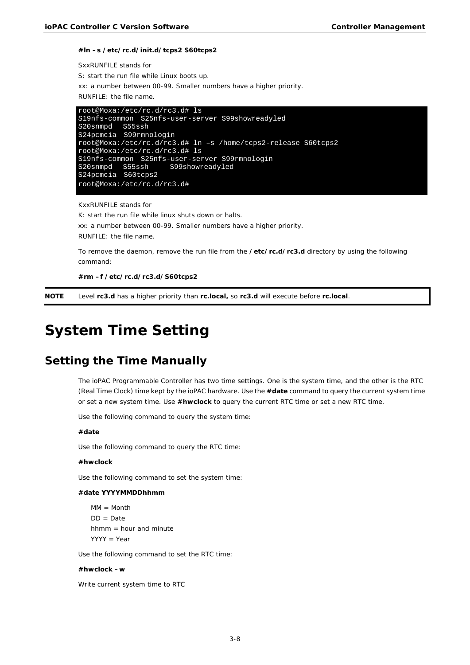#### **#ln –s /etc/rc.d/init.d/tcps2 S60tcps2**

```
SxxRUNFILE stands for
S: start the run file while Linux boots up.
xx: a number between 00-99. Smaller numbers have a higher priority.
RUNFILE: the file name.
```

```
root@Moxa:/etc/rc.d/rc3.d# ls
S19nfs-common S25nfs-user-server S99showreadyled
S20snmpd S55ssh
S24pcmcia S99rmnologin
root@Moxa:/etc/rc.d/rc3.d# ln –s /home/tcps2-release S60tcps2
root@Moxa:/etc/rc.d/rc3.d# ls
S19nfs-common S25nfs-user-server S99rmnologin
S20snmpd S55ssh S99showreadyled
S24pcmcia S60tcps2
root@Moxa:/etc/rc.d/rc3.d#
```
KxxRUNFILE stands for

K: start the run file while linux shuts down or halts. xx: a number between 00-99. Smaller numbers have a higher priority. RUNFILE: the file name.

To remove the daemon, remove the run file from the **/etc/rc.d/rc3.d** directory by using the following command:

**#rm –f /etc/rc.d/rc3.d/S60tcps2**

<span id="page-20-0"></span>**NOTE** Level **rc3.d** has a higher priority than **rc.local,** so **rc3.d** will execute before **rc.local**.

# **System Time Setting**

# <span id="page-20-1"></span>**Setting the Time Manually**

The ioPAC Programmable Controller has two time settings. One is the system time, and the other is the RTC (Real Time Clock) time kept by the ioPAC hardware. Use the **#date** command to query the current system time or set a new system time. Use **#hwclock** to query the current RTC time or set a new RTC time.

Use the following command to query the system time:

#### **#date**

Use the following command to query the RTC time:

#### **#hwclock**

Use the following command to set the system time:

#### **#date YYYYMMDDhhmm**

 $MM = Month$  $DD = Date$ hhmm = hour and minute YYYY = Year

Use the following command to set the RTC time:

#### **#hwclock –w**

Write current system time to RTC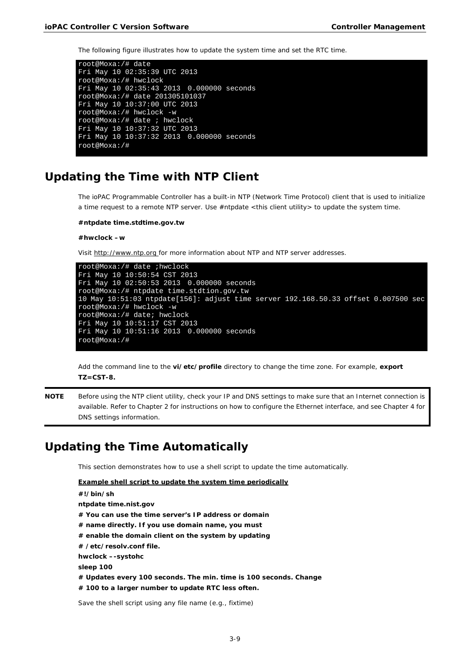The following figure illustrates how to update the system time and set the RTC time.

```
root@Moxa:/# date
Fri May 10 02:35:39 UTC 2013
root@Moxa:/# hwclock
Fri May 10 02:35:43 2013 0.000000 seconds
root@Moxa:/# date 201305101037
Fri May 10 10:37:00 UTC 2013
root@Moxa:/# hwclock -w
root@Moxa:/# date ; hwclock
Fri May 10 10:37:32 UTC 2013
Fri May 10 10:37:32 2013 0.000000 seconds
root@Moxa:/#
```
# <span id="page-21-0"></span>**Updating the Time with NTP Client**

The ioPAC Programmable Controller has a built-in NTP (Network Time Protocol) client that is used to initialize a time request to a remote NTP server. Use #ntpdate <this client utility> to update the system time.

#### **#ntpdate time.stdtime.gov.tw**

**#hwclock –w**

Visit http://www.ntp.org for more information about NTP and NTP server addresses.

```
root@Moxa:/# date ;hwclock
Fri May 10 10:50:54 CST 2013
Fri May 10 02:50:53 2013 0.000000 seconds
root@Moxa:/# ntpdate time.stdtion.gov.tw
10 May 10:51:03 ntpdate[156]: adjust time server 192.168.50.33 offset 0.007500 sec
root@Moxa:/# hwclock -w
root@Moxa:/# date; hwclock
Fri May 10 10:51:17 CST 2013
Fri May 10 10:51:16 2013 0.000000 seconds
root@Moxa:/#
```
Add the command line to the **vi/etc/profile** directory to change the time zone. For example, **export TZ=CST-8.**

**NOTE** Before using the NTP client utility, check your IP and DNS settings to make sure that an Internet connection is available. Refer to Chapter 2 for instructions on how to configure the Ethernet interface, and see Chapter 4 for DNS settings information.

# <span id="page-21-1"></span>**Updating the Time Automatically**

This section demonstrates how to use a shell script to update the time automatically.

```
Example shell script to update the system time periodically
#!/bin/sh
ntpdate time.nist.gov 
# You can use the time server's IP address or domain
# name directly. If you use domain name, you must
# enable the domain client on the system by updating
# /etc/resolv.conf file.
hwclock –-systohc
sleep 100 
# Updates every 100 seconds. The min. time is 100 seconds. Change
# 100 to a larger number to update RTC less often.
Save the shell script using any file name (e.g., fixtime)
```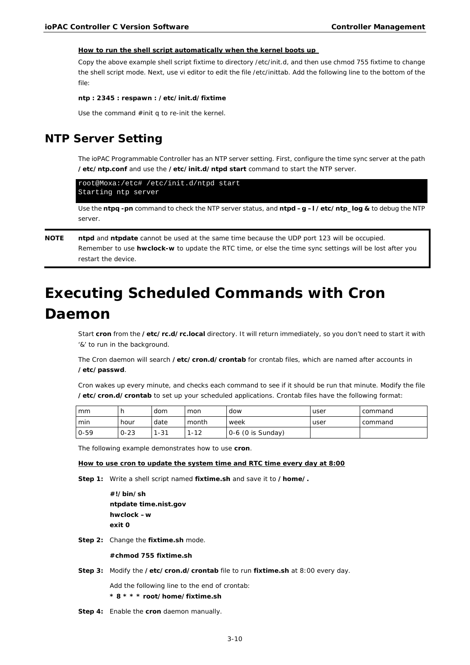#### **How to run the shell script automatically when the kernel boots up**

Copy the above example shell script fixtime to directory /etc/init.d, and then use chmod 755 fixtime to change the shell script mode. Next, use vi editor to edit the file /etc/inittab. Add the following line to the bottom of the file:

**ntp : 2345 : respawn : /etc/init.d/fixtime**

Use the command #init q to re-init the kernel.

# <span id="page-22-0"></span>**NTP Server Setting**

The ioPAC Programmable Controller has an NTP server setting. First, configure the time sync server at the path **/etc/ntp.conf** and use the **/etc/init.d/ntpd start** command to start the NTP server.

```
root@Moxa:/etc# /etc/init.d/ntpd start
Starting ntp server
```
Use the **ntpq -pn** command to check the NTP server status, and **ntpd –g –l /etc/ntp\_log &** to debug the NTP server.

## **NOTE ntpd** and **ntpdate** cannot be used at the same time because the UDP port 123 will be occupied. Remember to use **hwclock-w** to update the RTC time, or else the time sync settings will be lost after you restart the device.

# <span id="page-22-1"></span>**Executing Scheduled Commands with Cron Daemon**

Start **cron** from the **/etc/rc.d/rc.local** directory. It will return immediately, so you don't need to start it with '&' to run in the background.

The Cron daemon will search **/etc/cron.d/crontab** for crontab files, which are named after accounts in **/etc/passwd**.

Cron wakes up every minute, and checks each command to see if it should be run that minute. Modify the file **/etc/cron.d/crontab** to set up your scheduled applications. Crontab files have the following format:

| mm       |          | dom   | mon                               | dow                 | user | command |
|----------|----------|-------|-----------------------------------|---------------------|------|---------|
| min      | hour     | date  | month                             | week                | user | command |
| $0 - 59$ | $0 - 23$ | $-31$ | $-12$<br>$\overline{\phantom{0}}$ | $0-6$ (0 is Sunday) |      |         |

The following example demonstrates how to use **cron**.

### **How to use cron to update the system time and RTC time every day at 8:00**

**Step 1:** Write a shell script named **fixtime.sh** and save it to **/home/.**

**#!/bin/sh ntpdate time.nist.gov hwclock –w exit 0**

**Step 2:** Change the **fixtime.sh** mode.

#### **#chmod 755 fixtime.sh**

**Step 3:** Modify the **/etc/cron.d/crontab** file to run **fixtime.sh** at 8:00 every day.

Add the following line to the end of crontab:

- **\* 8 \* \* \* root/home/fixtime.sh**
- **Step 4:** Enable the **cron** daemon manually.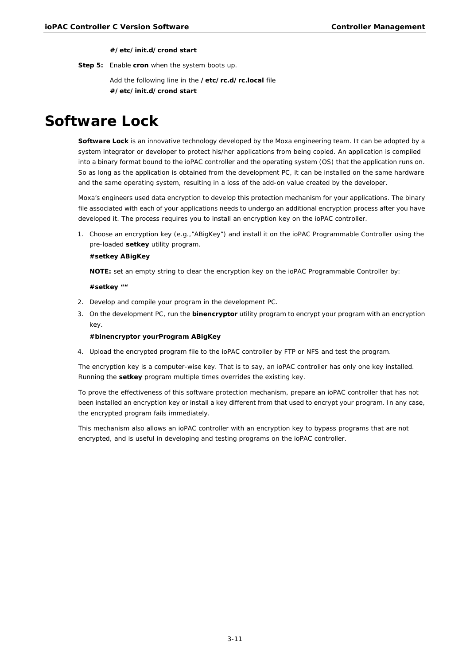#### **#/etc/init.d/crond start**

**Step 5:** Enable **cron** when the system boots up.

Add the following line in the **/etc/rc.d/rc.local** file **#/etc/init.d/crond start**

# <span id="page-23-0"></span>**Software Lock**

**Software Lock** is an innovative technology developed by the Moxa engineering team. It can be adopted by a system integrator or developer to protect his/her applications from being copied. An application is compiled into a binary format bound to the ioPAC controller and the operating system (OS) that the application runs on. So as long as the application is obtained from the development PC, it can be installed on the same hardware and the same operating system, resulting in a loss of the add-on value created by the developer.

Moxa's engineers used data encryption to develop this protection mechanism for your applications. The binary file associated with each of your applications needs to undergo an additional encryption process after you have developed it. The process requires you to install an encryption key on the ioPAC controller.

1. Choose an encryption key (e.g.,"ABigKey") and install it on the ioPAC Programmable Controller using the pre-loaded **setkey** utility program.

### **#setkey ABigKey**

**NOTE:** set an empty string to clear the encryption key on the ioPAC Programmable Controller by:

#### **#setkey ""**

- 2. Develop and compile your program in the development PC.
- 3. On the development PC, run the **binencryptor** utility program to encrypt your program with an encryption key.

#### **#binencryptor yourProgram ABigKey**

4. Upload the encrypted program file to the ioPAC controller by FTP or NFS and test the program.

The encryption key is a computer-wise key. That is to say, an ioPAC controller has only one key installed. Running the **setkey** program multiple times overrides the existing key.

To prove the effectiveness of this software protection mechanism, prepare an ioPAC controller that has not been installed an encryption key or install a key different from that used to encrypt your program. In any case, the encrypted program fails immediately.

This mechanism also allows an ioPAC controller with an encryption key to bypass programs that are not encrypted, and is useful in developing and testing programs on the ioPAC controller.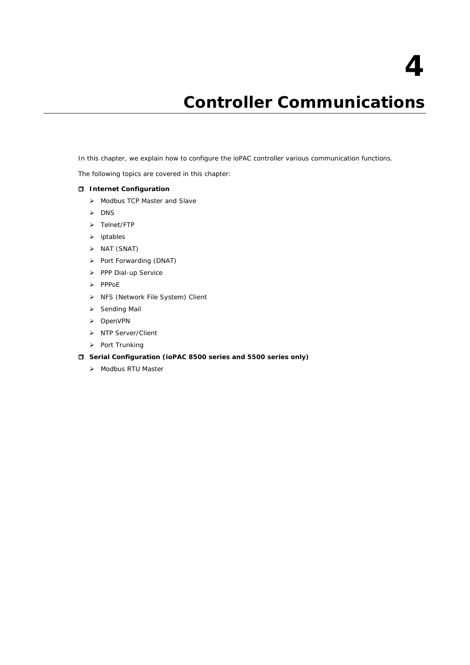# **4. Controller Communications**

<span id="page-24-0"></span>In this chapter, we explain how to configure the ioPAC controller various communication functions.

The following topics are covered in this chapter:

## **[Internet Configuration](#page-25-0)**

- > [Modbus TCP Master and Slave](#page-25-1)
- $\triangleright$  [DNS](#page-25-2)
- > [Telnet/FTP](#page-25-3)
- $\triangleright$  [iptables](#page-26-0)
- $\triangleright$  [NAT \(SNAT\)](#page-30-0)
- > [Port Forwarding \(DNAT\)](#page-32-0)
- [PPP Dial-up Service](#page-32-1)
- $\triangleright$  [PPPoE](#page-35-0)
- > [NFS \(Network File System\) Client](#page-37-0)
- $\triangleright$  [Sending Mail](#page-37-1)
- > [OpenVPN](#page-37-2)
- > [NTP Server/Client](#page-41-0)
- $\triangleright$  [Port Trunking](#page-42-0)

## **Serial Configuration [\(ioPAC 8500 series and 5500 series only\)](#page-42-1)**

> [Modbus RTU Master](#page-42-2)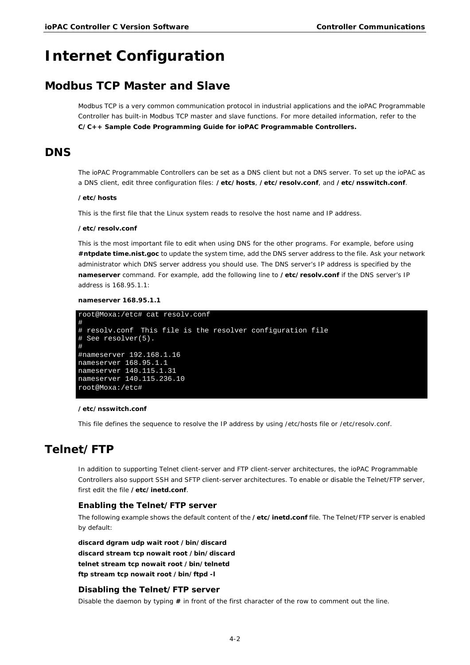# <span id="page-25-0"></span>**Internet Configuration**

# <span id="page-25-1"></span>**Modbus TCP Master and Slave**

Modbus TCP is a very common communication protocol in industrial applications and the ioPAC Programmable Controller has built-in Modbus TCP master and slave functions. For more detailed information, refer to the **C/C++ Sample Code Programming Guide for ioPAC Programmable Controllers.**

# <span id="page-25-2"></span>**DNS**

The ioPAC Programmable Controllers can be set as a DNS client but not a DNS server. To set up the ioPAC as a DNS client, edit three configuration files: **/etc/hosts**, **/etc/resolv.conf**, and **/etc/nsswitch.conf**.

#### **/etc/hosts**

This is the first file that the Linux system reads to resolve the host name and IP address.

#### **/etc/resolv.conf**

This is the most important file to edit when using DNS for the other programs. For example, before using **#ntpdate time.nist.goc** to update the system time, add the DNS server address to the file. Ask your network administrator which DNS server address you should use. The DNS server's IP address is specified by the **nameserver** command. For example, add the following line to **/etc/resolv.conf** if the DNS server's IP address is 168.95.1.1:

### **nameserver 168.95.1.1**

```
root@Moxa:/etc# cat resolv.conf
#
# resolv.conf This file is the resolver configuration file
# See resolver(5).
#
#nameserver 192.168.1.16
nameserver 168.95.1.1
nameserver 140.115.1.31
nameserver 140.115.236.10
root@Moxa:/etc#
```
#### **/etc/nsswitch.conf**

This file defines the sequence to resolve the IP address by using /etc/hosts file or /etc/resolv.conf.

# <span id="page-25-3"></span>**Telnet/FTP**

In addition to supporting Telnet client-server and FTP client-server architectures, the ioPAC Programmable Controllers also support SSH and SFTP client-server architectures. To enable or disable the Telnet/FTP server, first edit the file **/etc/inetd.conf**.

### **Enabling the Telnet/FTP server**

The following example shows the default content of the **/etc/inetd.conf** file. The Telnet/FTP server is enabled by default:

**discard dgram udp wait root /bin/discard discard stream tcp nowait root /bin/discard telnet stream tcp nowait root /bin/telnetd ftp stream tcp nowait root /bin/ftpd -l**

## **Disabling the Telnet/FTP server**

Disable the daemon by typing **#** in front of the first character of the row to comment out the line.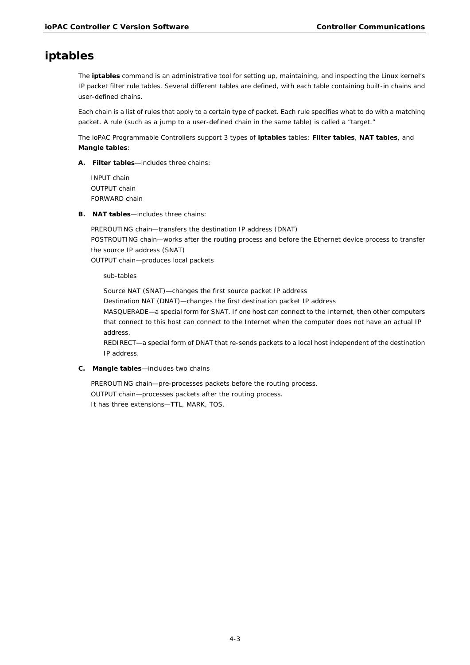# <span id="page-26-0"></span>**iptables**

The **iptables** command is an administrative tool for setting up, maintaining, and inspecting the Linux kernel's IP packet filter rule tables. Several different tables are defined, with each table containing built-in chains and user-defined chains.

Each chain is a list of rules that apply to a certain type of packet. Each rule specifies what to do with a matching packet. A rule (such as a jump to a user-defined chain in the same table) is called a "target."

The ioPAC Programmable Controllers support 3 types of **iptables** tables: **Filter tables**, **NAT tables**, and **Mangle tables**:

**A. Filter tables**—includes three chains:

INPUT chain OUTPUT chain FORWARD chain

**B. NAT tables**—includes three chains:

PREROUTING chain—transfers the destination IP address (DNAT) POSTROUTING chain—works after the routing process and before the Ethernet device process to transfer the source IP address (SNAT)

OUTPUT chain—produces local packets

*sub-tables*

Source NAT (SNAT)—changes the first source packet IP address Destination NAT (DNAT)—changes the first destination packet IP address MASQUERADE—a special form for SNAT. If one host can connect to the Internet, then other computers that connect to this host can connect to the Internet when the computer does not have an actual IP address.

REDIRECT—a special form of DNAT that re-sends packets to a local host independent of the destination IP address.

**C. Mangle tables**—includes two chains

PREROUTING chain—pre-processes packets before the routing process. OUTPUT chain—processes packets after the routing process. It has three extensions—TTL, MARK, TOS.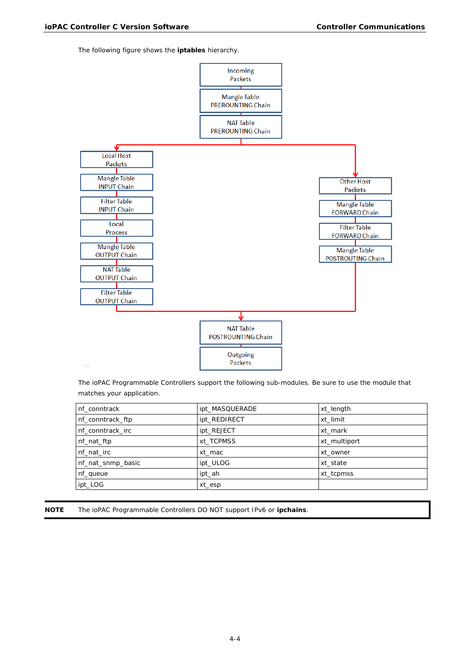The following figure shows the **iptables** hierarchy.



The ioPAC Programmable Controllers support the following sub-modules. Be sure to use the module that matches your application.

| nf conntrack      | ipt_MASQUERADE | xt_length    |
|-------------------|----------------|--------------|
| nf_conntrack_ftp  | ipt_REDIRECT   | xt limit     |
| nf conntrack irc  | ipt_REJECT     | xt mark      |
| nf_nat_ftp        | xt TCPMSS      | xt multiport |
| nf nat irc        | xt mac         | xt owner     |
| nf_nat_snmp_basic | ipt ULOG       | xt state     |
| nf_queue          | ipt_ah         | xt_tcpmss    |
| ipt_LOG           | xt_esp         |              |

**NOTE** The ioPAC Programmable Controllers DO NOT support IPv6 or **ipchains**.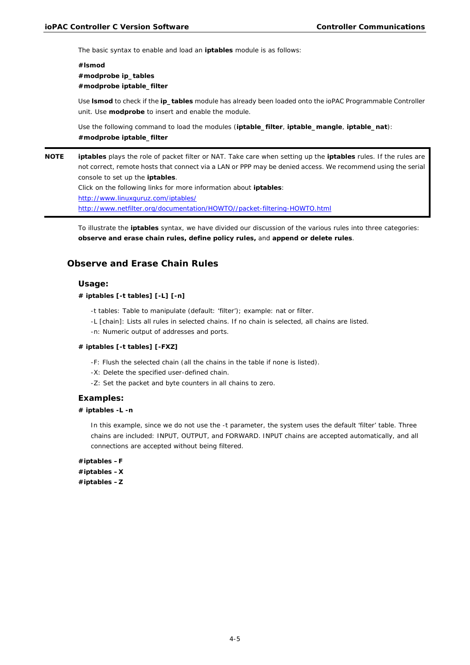The basic syntax to enable and load an **iptables** module is as follows:

## **#lsmod #modprobe ip\_tables #modprobe iptable\_filter**

Use **lsmod** to check if the **ip\_tables** module has already been loaded onto the ioPAC Programmable Controller unit. Use **modprobe** to insert and enable the module.

Use the following command to load the modules (**iptable\_filter**, **iptable\_mangle**, **iptable\_nat**): **#modprobe iptable\_filter**

**NOTE iptables** plays the role of packet filter or NAT. Take care when setting up the **iptables** rules. If the rules are not correct, remote hosts that connect via a LAN or PPP may be denied access. We recommend using the serial console to set up the **iptables**. Click on the following links for more information about **iptables**: <http://www.linuxguruz.com/iptables/> [http://www.netfilter.org/documentation/HOWTO//packet-filtering-HOWTO.html](http://www.netfilter.org/documentation/HOWTO/packet-filtering-HOWTO.html)

To illustrate the **iptables** syntax, we have divided our discussion of the various rules into three categories: **observe and erase chain rules, define policy rules,** and **append or delete rules**.

## **Observe and Erase Chain Rules**

### **Usage:**

**# iptables [-t tables] [-L] [-n]**

-t tables: Table to manipulate (default: 'filter'); example: nat or filter.

-L [chain]: Lists all rules in selected chains. If no chain is selected, all chains are listed.

-n: Numeric output of addresses and ports.

#### **# iptables [-t tables] [-FXZ]**

-F: Flush the selected chain (all the chains in the table if none is listed).

- -X: Delete the specified user-defined chain.
- -Z: Set the packet and byte counters in all chains to zero.

#### **Examples:**

### **# iptables -L -n**

In this example, since we do not use the -t parameter, the system uses the default 'filter' table. Three chains are included: INPUT, OUTPUT, and FORWARD. INPUT chains are accepted automatically, and all connections are accepted without being filtered.

**#iptables –F #iptables –X #iptables –Z**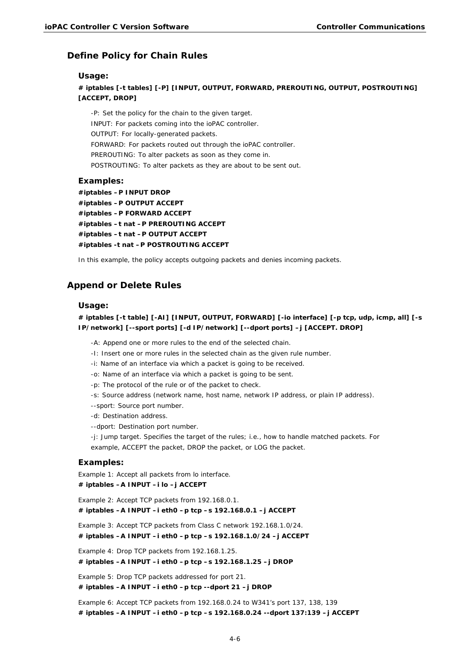## **Define Policy for Chain Rules**

#### **Usage:**

**# iptables [-t tables] [-P] [INPUT, OUTPUT, FORWARD, PREROUTING, OUTPUT, POSTROUTING] [ACCEPT, DROP]**

-P: Set the policy for the chain to the given target. INPUT: For packets coming into the ioPAC controller. OUTPUT: For locally-generated packets. FORWARD: For packets routed out through the ioPAC controller. PREROUTING: To alter packets as soon as they come in. POSTROUTING: To alter packets as they are about to be sent out.

## **Examples:**

```
#iptables –P INPUT DROP
#iptables –P OUTPUT ACCEPT
#iptables –P FORWARD ACCEPT
#iptables –t nat –P PREROUTING ACCEPT
#iptables –t nat –P OUTPUT ACCEPT
#iptables -t nat –P POSTROUTING ACCEPT
```
In this example, the policy accepts outgoing packets and denies incoming packets.

### **Append or Delete Rules**

### **Usage:**

## **# iptables [-t table] [-AI] [INPUT, OUTPUT, FORWARD] [-io interface] [-p tcp, udp, icmp, all] [-s IP/network] [--sport ports] [-d IP/network] [--dport ports] –j [ACCEPT. DROP]**

-A: Append one or more rules to the end of the selected chain.

- -I: Insert one or more rules in the selected chain as the given rule number.
- -i: Name of an interface via which a packet is going to be received.
- -o: Name of an interface via which a packet is going to be sent.
- -p: The protocol of the rule or of the packet to check.
- -s: Source address (network name, host name, network IP address, or plain IP address).
- --sport: Source port number.
- -d: Destination address.
- --dport: Destination port number.

-j: Jump target. Specifies the target of the rules; i.e., how to handle matched packets. For example, ACCEPT the packet, DROP the packet, or LOG the packet.

### **Examples:**

Example 1: Accept all packets from lo interface.

#### **# iptables –A INPUT –i lo –j ACCEPT**

Example 2: Accept TCP packets from 192.168.0.1.

**# iptables –A INPUT –i eth0 –p tcp –s 192.168.0.1 –j ACCEPT**

Example 3: Accept TCP packets from Class C network 192.168.1.0/24. **# iptables –A INPUT –i eth0 –p tcp –s 192.168.1.0/24 –j ACCEPT**

Example 4: Drop TCP packets from 192.168.1.25.

**# iptables –A INPUT –i eth0 –p tcp –s 192.168.1.25 –j DROP**

Example 5: Drop TCP packets addressed for port 21. **# iptables –A INPUT –i eth0 –p tcp --dport 21 –j DROP**

Example 6: Accept TCP packets from 192.168.0.24 to W341's port 137, 138, 139 **# iptables –A INPUT –i eth0 –p tcp –s 192.168.0.24 --dport 137:139 –j ACCEPT**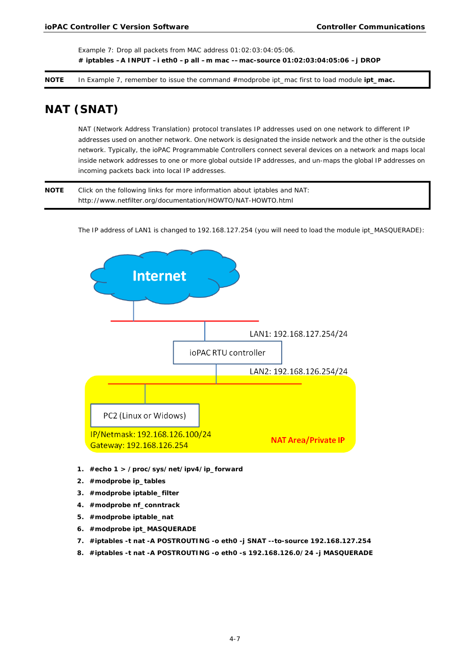Example 7: Drop all packets from MAC address 01:02:03:04:05:06. **# iptables –A INPUT –i eth0 –p all –m mac -–mac-source 01:02:03:04:05:06 –j DROP**

<span id="page-30-0"></span>**NOTE** In Example 7, remember to issue the command #modprobe ipt\_mac first to load module **ipt\_mac.**

# **NAT (SNAT)**

NAT (Network Address Translation) protocol translates IP addresses used on one network to different IP addresses used on another network. One network is designated the inside network and the other is the outside network. Typically, the ioPAC Programmable Controllers connect several devices on a network and maps local inside network addresses to one or more global outside IP addresses, and un-maps the global IP addresses on incoming packets back into local IP addresses.

**NOTE** Click on the following links for more information about iptables and NAT: http://www.netfilter.org/documentation/HOWTO/NAT-HOWTO.html

The IP address of LAN1 is changed to 192.168.127.254 (you will need to load the module ipt\_MASQUERADE):



- **1. #echo 1 > /proc/sys/net/ipv4/ip\_forward**
- **2. #modprobe ip\_tables**
- **3. #modprobe iptable\_filter**
- **4. #modprobe nf\_conntrack**
- **5. #modprobe iptable\_nat**
- **6. #modprobe ipt\_MASQUERADE**
- **7. #iptables -t nat -A POSTROUTING -o eth0 -j SNAT --to-source 192.168.127.254**
- **8. #iptables -t nat -A POSTROUTING -o eth0 -s 192.168.126.0/24 -j MASQUERADE**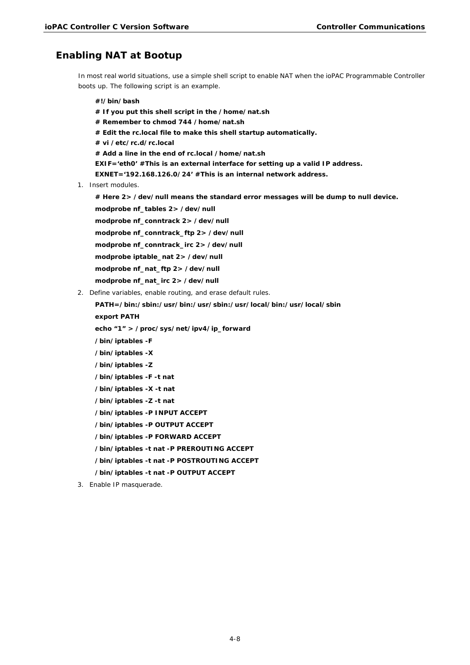## **Enabling NAT at Bootup**

In most real world situations, use a simple shell script to enable NAT when the ioPAC Programmable Controller boots up. The following script is an example.

**#!/bin/bash # If you put this shell script in the /home/nat.sh # Remember to chmod 744 /home/nat.sh # Edit the rc.local file to make this shell startup automatically. # vi /etc/rc.d/rc.local # Add a line in the end of rc.local /home/nat.sh EXIF='eth0' #This is an external interface for setting up a valid IP address. EXNET='192.168.126.0/24' #This is an internal network address.** 1. Insert modules. **# Here 2> /dev/null means the standard error messages will be dump to null device. modprobe nf\_tables 2> /dev/null**

**modprobe nf\_conntrack 2> /dev/null**

**modprobe nf\_conntrack\_ftp 2> /dev/null**

**modprobe nf\_conntrack\_irc 2> /dev/null**

**modprobe iptable\_nat 2> /dev/null**

**modprobe nf\_nat\_ftp 2> /dev/null**

**modprobe nf\_nat\_irc 2> /dev/null**

2. Define variables, enable routing, and erase default rules.

**PATH=/bin:/sbin:/usr/bin:/usr/sbin:/usr/local/bin:/usr/local/sbin**

**export PATH**

**echo "1" > /proc/sys/net/ipv4/ip\_forward**

- **/bin/iptables -F**
- **/bin/iptables -X**
- **/bin/iptables -Z**
- **/bin/iptables -F -t nat**
- **/bin/iptables -X -t nat**
- **/bin/iptables -Z -t nat**

**/bin/iptables -P INPUT ACCEPT**

**/bin/iptables -P OUTPUT ACCEPT**

**/bin/iptables -P FORWARD ACCEPT**

**/bin/iptables -t nat -P PREROUTING ACCEPT**

**/bin/iptables -t nat -P POSTROUTING ACCEPT**

**/bin/iptables -t nat -P OUTPUT ACCEPT**

3. Enable IP masquerade.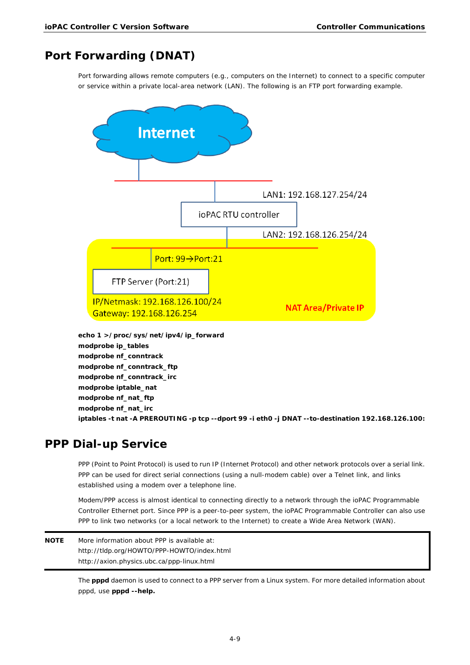# <span id="page-32-0"></span>**Port Forwarding (DNAT)**

Port forwarding allows remote computers (e.g., computers on the Internet) to connect to a specific computer or service within a private local-area network (LAN). The following is an FTP port forwarding example.



**modprobe ip\_tables modprobe nf\_conntrack modprobe nf\_conntrack\_ftp modprobe nf\_conntrack\_irc modprobe iptable\_nat modprobe nf\_nat\_ftp modprobe nf\_nat\_irc iptables -t nat -A PREROUTING -p tcp --dport 99 -i eth0 -j DNAT --to-destination 192.168.126.100:**

# <span id="page-32-1"></span>**PPP Dial-up Service**

PPP (Point to Point Protocol) is used to run IP (Internet Protocol) and other network protocols over a serial link. PPP can be used for direct serial connections (using a null-modem cable) over a Telnet link, and links established using a modem over a telephone line.

Modem/PPP access is almost identical to connecting directly to a network through the ioPAC Programmable Controller Ethernet port. Since PPP is a peer-to-peer system, the ioPAC Programmable Controller can also use PPP to link two networks (or a local network to the Internet) to create a Wide Area Network (WAN).

**NOTE** More information about PPP is available at: http://tldp.org/HOWTO/PPP-HOWTO/index.html http://axion.physics.ubc.ca/ppp-linux.html

> The **pppd** daemon is used to connect to a PPP server from a Linux system. For more detailed information about pppd, use **pppd --help.**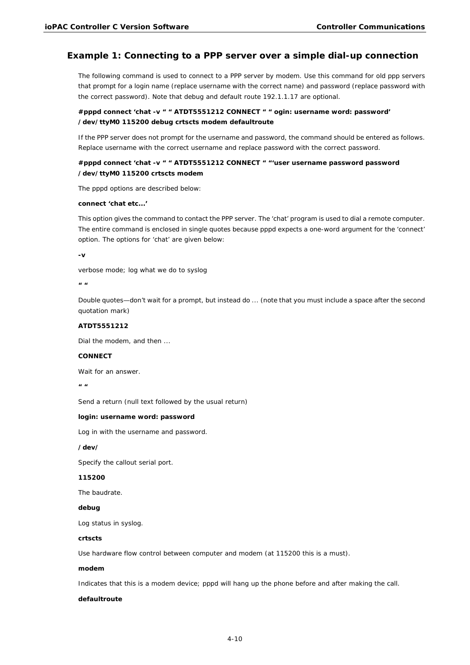## **Example 1: Connecting to a PPP server over a simple dial-up connection**

The following command is used to connect to a PPP server by modem. Use this command for old ppp servers that prompt for a login name (replace username with the correct name) and password (replace password with the correct password). Note that debug and default route 192.1.1.17 are optional.

## **#pppd connect 'chat -v " " ATDT5551212 CONNECT " " ogin: username word: password' /dev/ttyM0 115200 debug crtscts modem defaultroute**

If the PPP server does not prompt for the username and password, the command should be entered as follows. Replace username with the correct username and replace password with the correct password.

## **#pppd connect 'chat -v " " ATDT5551212 CONNECT " "'user username password** *password*  **/dev/ttyM0 115200 crtscts modem**

The pppd options are described below:

### **connect 'chat etc...'**

This option gives the command to contact the PPP server. The 'chat' program is used to dial a remote computer. The entire command is enclosed in single quotes because pppd expects a one-word argument for the 'connect' option. The options for 'chat' are given below:

**-v**

verbose mode; log what we do to syslog

**"** 

Double quotes—don't wait for a prompt, but instead do ... (note that you must include a space after the second quotation mark)

#### **ATDT5551212**

Dial the modem, and then ...

#### **CONNECT**

Wait for an answer.

**" "**

Send a return (null text followed by the usual return)

#### **login: username word: password**

Log in with the username and password.

**/dev/**

Specify the callout serial port.

#### **115200**

The baudrate.

#### **debug**

Log status in syslog.

#### **crtscts**

Use hardware flow control between computer and modem (at 115200 this is a must).

#### **modem**

Indicates that this is a modem device; pppd will hang up the phone before and after making the call.

#### **defaultroute**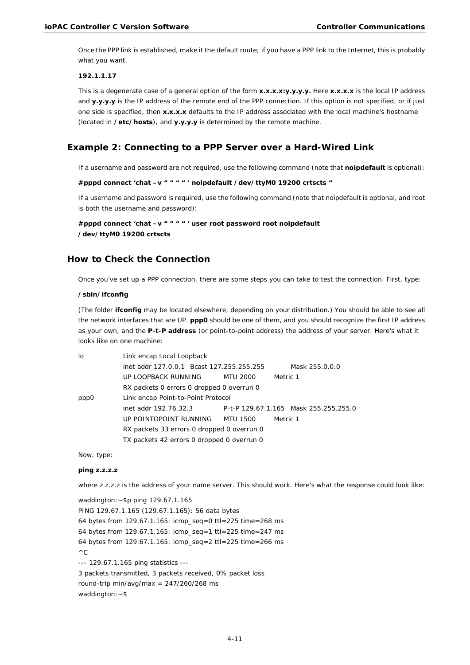Once the PPP link is established, make it the default route; if you have a PPP link to the Internet, this is probably what you want.

#### **192.1.1.17**

This is a degenerate case of a general option of the form **x.x.x.x:y.y.y.y.** Here **x.x.x.x** is the local IP address and **y.y.y.y** is the IP address of the remote end of the PPP connection. If this option is not specified, or if just one side is specified, then **x.x.x.x** defaults to the IP address associated with the local machine's hostname (located in **/etc/hosts**), and **y.y.y.y** is determined by the remote machine.

## **Example 2: Connecting to a PPP Server over a Hard-Wired Link**

If a username and password are not required, use the following command (note that **noipdefault** is optional):

```
#pppd connect 'chat –v " " " " ' noipdefault /dev/ttyM0 19200 crtscts "
```
If a username and password is required, use the following command (note that noipdefault is optional, and root is both the username and password):

**#pppd connect 'chat –v " " " " ' user** *root* **password** *root noipdefault* **/dev/ttyM0 19200 crtscts**

### **How to Check the Connection**

Once you've set up a PPP connection, there are some steps you can take to test the connection. First, type:

#### **/sbin/ifconfig**

(The folder **ifconfig** may be located elsewhere, depending on your distribution.) You should be able to see all the network interfaces that are UP. **ppp0** should be one of them, and you should recognize the first IP address as your own, and the **P-t-P address** (or point-to-point address) the address of your server. Here's what it looks like on one machine:

| lo   | Link encap Local Loopback                  |          |          |                                       |  |  |
|------|--------------------------------------------|----------|----------|---------------------------------------|--|--|
|      | inet addr 127.0.0.1 Bcast 127.255.255.255  |          |          | Mask 255.0.0.0                        |  |  |
|      | UP LOOPBACK RUNNING                        | MTU 2000 | Metric 1 |                                       |  |  |
|      | RX packets 0 errors 0 dropped 0 overrun 0  |          |          |                                       |  |  |
| ppp0 | Link encap Point-to-Point Protocol         |          |          |                                       |  |  |
|      | inet addr 192.76.32.3                      |          |          | P-t-P 129.67.1.165 Mask 255.255.255.0 |  |  |
|      | UP POINTOPOINT RUNNING                     | MTU 1500 | Metric 1 |                                       |  |  |
|      | RX packets 33 errors 0 dropped 0 overrun 0 |          |          |                                       |  |  |
|      | TX packets 42 errors 0 dropped 0 overrun 0 |          |          |                                       |  |  |

Now, type:

### **ping z.z.z.z**

where z.z.z.z is the address of your name server. This should work. Here's what the response could look like:

waddington:~\$p ping 129.67.1.165 PING 129.67.1.165 (129.67.1.165): 56 data bytes 64 bytes from 129.67.1.165: icmp\_seq=0 ttl=225 time=268 ms 64 bytes from 129.67.1.165: icmp\_seq=1 ttl=225 time=247 ms 64 bytes from 129.67.1.165: icmp\_seq=2 ttl=225 time=266 ms  $\wedge$  C --- 129.67.1.165 ping statistics --- 3 packets transmitted, 3 packets received, 0% packet loss round-trip min/avg/max =  $247/260/268$  ms waddington:  $~5$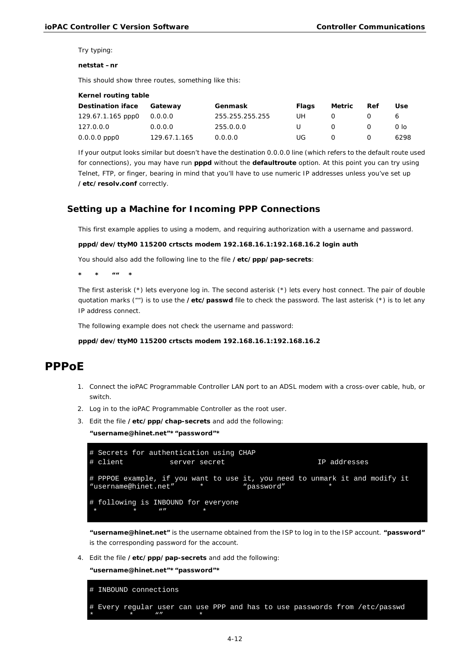Try typing:

#### **netstat –nr**

This should show three routes, something like this:

| Kernel routing table |              |                 |       |                  |     |      |  |
|----------------------|--------------|-----------------|-------|------------------|-----|------|--|
| Destination iface    | Gateway      | Genmask         | Flags | Metric           | Ref | Use  |  |
| 129.67.1.165 ppp0    | 0.0.0.0      | 255.255.255.255 | UH    | $\left( \right)$ |     |      |  |
| 127.0.0.0            | 0.0.0.0      | 255.0.0.0       | U.    | $\Omega$         |     | 0 lo |  |
| $0.0.0.0$ ppp $0$    | 129.67.1.165 | 0.0.0.0         | UG    | $\Omega$         |     | 6298 |  |

If your output looks similar but doesn't have the destination 0.0.0.0 line (which refers to the default route used for connections), you may have run **pppd** without the **defaultroute** option. At this point you can try using Telnet, FTP, or finger, bearing in mind that you'll have to use numeric IP addresses unless you've set up **/etc/resolv.conf** correctly.

## **Setting up a Machine for Incoming PPP Connections**

This first example applies to using a modem, and requiring authorization with a username and password.

#### **pppd/dev/ttyM0 115200 crtscts modem 192.168.16.1:192.168.16.2 login auth**

You should also add the following line to the file **/etc/ppp/pap-secrets**:

**\* \* "" \***

The first asterisk (\*) lets everyone log in. The second asterisk (\*) lets every host connect. The pair of double quotation marks ("") is to use the **/etc/passwd** file to check the password. The last asterisk (\*) is to let any IP address connect.

The following example does not check the username and password:

#### **pppd/dev/ttyM0 115200 crtscts modem 192.168.16.1:192.168.16.2**

## <span id="page-35-0"></span>**PPPoE**

- 1. Connect the ioPAC Programmable Controller LAN port to an ADSL modem with a cross-over cable, hub, or switch.
- 2. Log in to the ioPAC Programmable Controller as the root user.
- 3. Edit the file **/etc/ppp/chap-secrets** and add the following:

**"username@hinet.net"\*"password"\***

```
# Secrets for authentication using CHAP<br># client server secret
                     server secret and Server secret IP addresses
# PPPOE example, if you want to use it, you need to unmark it and modify it "username@hinet.net" * *
"username@hinet.net"
# following is INBOUND for everyone
 * * * * * * *
```
**"username@hinet.net"** is the username obtained from the ISP to log in to the ISP account. **"password"**  is the corresponding password for the account.

4. Edit the file **/etc/ppp/pap-secrets** and add the following:

**"username@hinet.net"\*"password"\***

```
# INBOUND connections
 Every regular user can use PPP and has to use passwords from /etc/passwd
* * "" *
```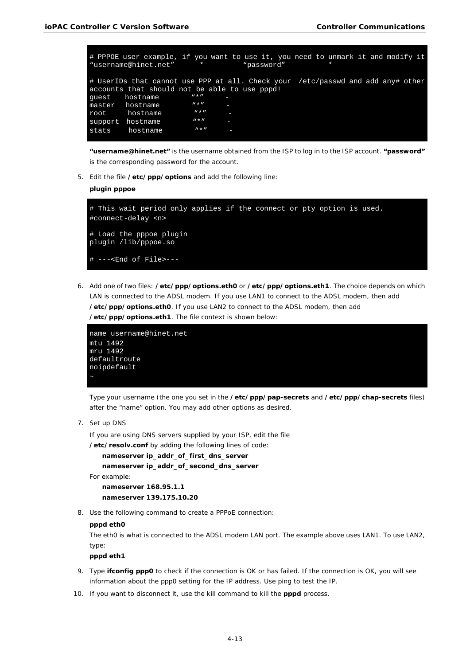|         | # PPPOE user example, if you want to use it, you need to unmark it and modify it<br>"username@hinet.net"                         | $\star$     |   | "password" |  |  |  |
|---------|----------------------------------------------------------------------------------------------------------------------------------|-------------|---|------------|--|--|--|
|         | # UserIDs that cannot use PPP at all. Check your /etc/passwd and add any# other<br>accounts that should not be able to use pppd! |             |   |            |  |  |  |
| quest   | hostname                                                                                                                         | $W \star H$ |   |            |  |  |  |
| master  | hostname                                                                                                                         | $W \star H$ |   |            |  |  |  |
| root    | hostname                                                                                                                         | $W \star H$ |   |            |  |  |  |
| support | hostname                                                                                                                         | $W \star H$ |   |            |  |  |  |
| stats   | hostname                                                                                                                         | $W \star H$ | I |            |  |  |  |

**"username@hinet.net"** is the username obtained from the ISP to log in to the ISP account. **"password"**  is the corresponding password for the account.

5. Edit the file **/etc/ppp/options** and add the following line:

#### **plugin pppoe**

```
# This wait period only applies if the connect or pty option is used.
#connect-delay <n>
# Load the pppoe plugin
plugin /lib/pppoe.so
 ---<End of File>---
```
6. Add one of two files: **/etc/ppp/options.eth0** or **/etc/ppp/options.eth1**. The choice depends on which LAN is connected to the ADSL modem. If you use LAN1 to connect to the ADSL modem, then add **/etc/ppp/options.eth0**. If you use LAN2 to connect to the ADSL modem, then add **/etc/ppp/options.eth1**. The file context is shown below:

```
name username@hinet.net
mtu 1492
mru 1492
defaultroute
noipdefault
```
Type your username (the one you set in the **/etc/ppp/pap-secrets** and **/etc/ppp/chap-secrets** files) after the "name" option. You may add other options as desired.

7. Set up DNS

If you are using DNS servers supplied by your ISP, edit the file

**/etc/resolv.conf** by adding the following lines of code:

```
nameserver ip_addr_of_first_dns_server
nameserver ip_addr_of_second_dns_server
```
For example:

**nameserver 168.95.1.1 nameserver 139.175.10.20**

8. Use the following command to create a PPPoE connection:

#### **pppd eth0**

The eth0 is what is connected to the ADSL modem LAN port. The example above uses LAN1. To use LAN2, type:

### **pppd eth1**

- 9. Type **ifconfig ppp0** to check if the connection is OK or has failed. If the connection is OK, you will see information about the ppp0 setting for the IP address. Use ping to test the IP.
- 10. If you want to disconnect it, use the kill command to kill the **pppd** process.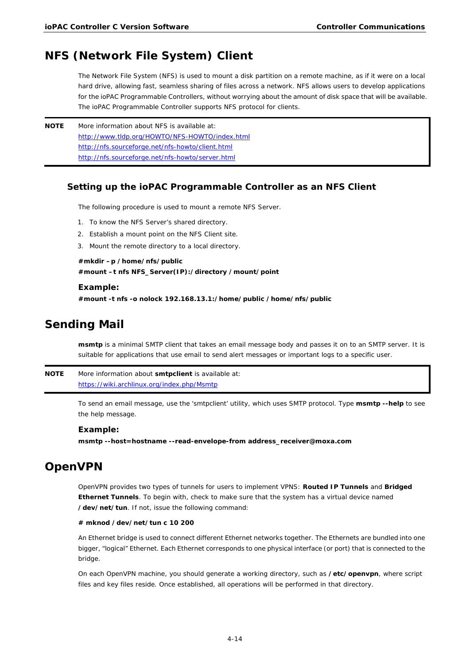# <span id="page-37-0"></span>**NFS (Network File System) Client**

The Network File System (NFS) is used to mount a disk partition on a remote machine, as if it were on a local hard drive, allowing fast, seamless sharing of files across a network. NFS allows users to develop applications for the ioPAC Programmable Controllers, without worrying about the amount of disk space that will be available. The ioPAC Programmable Controller supports NFS protocol for clients.

**NOTE** More information about NFS is available at: <http://www.tldp.org/HOWTO/NFS-HOWTO/index.html> <http://nfs.sourceforge.net/nfs-howto/client.html> <http://nfs.sourceforge.net/nfs-howto/server.html>

## **Setting up the ioPAC Programmable Controller as an NFS Client**

The following procedure is used to mount a remote NFS Server.

- 1. To know the NFS Server's shared directory.
- 2. Establish a mount point on the NFS Client site.
- 3. Mount the remote directory to a local directory.

## **#mkdir –p /home/nfs/public #mount –t nfs NFS\_Server(IP):/directory /mount/point**

#### **Example:**

**#mount -t nfs -o nolock 192.168.13.1:/home/public /home/nfs/public**

# <span id="page-37-1"></span>**Sending Mail**

**msmtp** is a minimal SMTP client that takes an email message body and passes it on to an SMTP server. It is suitable for applications that use email to send alert messages or important logs to a specific user.

**NOTE** More information about **smtpclient** is available at: <https://wiki.archlinux.org/index.php/Msmtp>

> To send an email message, use the 'smtpclient' utility, which uses SMTP protocol. Type **msmtp --help** to see the help message.

### **Example:**

**msmtp --host=hostname --read-envelope-from address\_receiver@moxa.com**

# <span id="page-37-2"></span>**OpenVPN**

OpenVPN provides two types of tunnels for users to implement VPNS: **Routed IP Tunnels** and **Bridged Ethernet Tunnels**. To begin with, check to make sure that the system has a virtual device named **/dev/net/tun**. If not, issue the following command:

### **# mknod /dev/net/tun c 10 200**

An Ethernet bridge is used to connect different Ethernet networks together. The Ethernets are bundled into one bigger, "logical" Ethernet. Each Ethernet corresponds to one physical interface (or port) that is connected to the bridge.

On each OpenVPN machine, you should generate a working directory, such as **/etc/openvpn**, where script files and key files reside. Once established, all operations will be performed in that directory.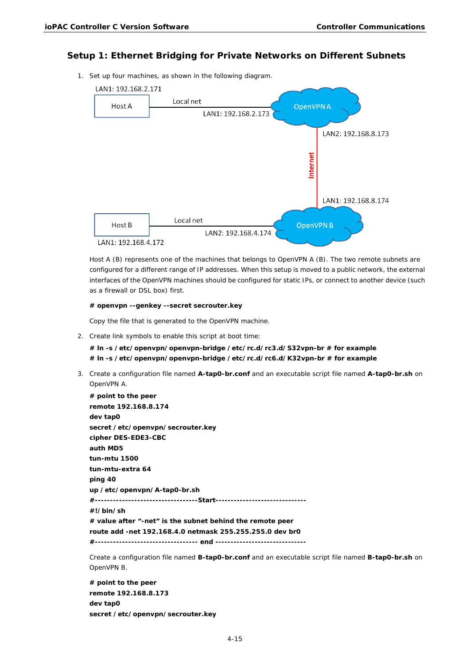## **Setup 1: Ethernet Bridging for Private Networks on Different Subnets**

1. Set up four machines, as shown in the following diagram.



Host A (B) represents one of the machines that belongs to OpenVPN A (B). The two remote subnets are configured for a different range of IP addresses. When this setup is moved to a public network, the external interfaces of the OpenVPN machines should be configured for static IPs, or connect to another device (such as a firewall or DSL box) first.

#### **# openvpn --genkey --secret secrouter.key**

Copy the file that is generated to the OpenVPN machine.

2. Create link symbols to enable this script at boot time:

**# ln -s /etc/openvpn/openvpn-bridge /etc/rc.d/rc3.d/S32vpn-br # for example # ln -s /etc/openvpn/openvpn-bridge /etc/rc.d/rc6.d/K32vpn-br # for example**

3. Create a configuration file named **A-tap0-br.conf** and an executable script file named **A-tap0-br.sh** on OpenVPN A.

```
# point to the peer
remote 192.168.8.174
dev tap0
secret /etc/openvpn/secrouter.key
cipher DES-EDE3-CBC
auth MD5
tun-mtu 1500
tun-mtu-extra 64
ping 40
up /etc/openvpn/A-tap0-br.sh
#----------------------------------Start------------------------------
#!/bin/sh
# value after "-net" is the subnet behind the remote peer
route add -net 192.168.4.0 netmask 255.255.255.0 dev br0
#---------------------------------- end ------------------------------
```
Create a configuration file named **B-tap0-br.conf** and an executable script file named **B-tap0-br.sh** on OpenVPN B.

**# point to the peer remote 192.168.8.173 dev tap0 secret /etc/openvpn/secrouter.key**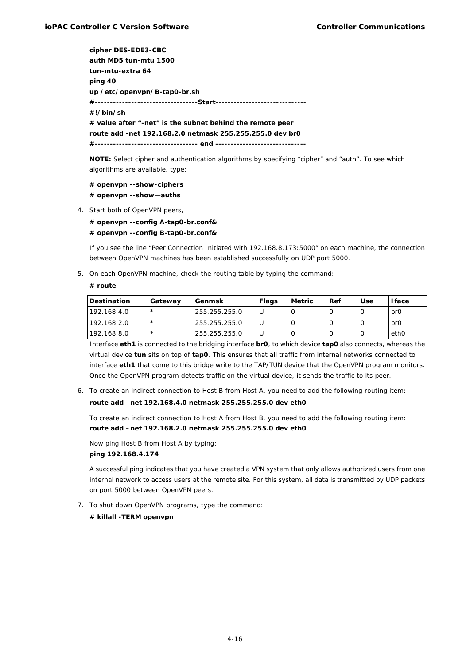**cipher DES-EDE3-CBC auth MD5 tun-mtu 1500 tun-mtu-extra 64 ping 40 up /etc/openvpn/B-tap0-br.sh #----------------------------------Start------------------------------ #!/bin/sh # value after "-net" is the subnet behind the remote peer route add -net 192.168.2.0 netmask 255.255.255.0 dev br0 #---------------------------------- end ------------------------------**

**NOTE:** Select cipher and authentication algorithms by specifying "cipher" and "auth". To see which algorithms are available, type:

**# openvpn --show-ciphers # openvpn --show—auths**

4. Start both of OpenVPN peers,

**# openvpn --config A-tap0-br.conf& # openvpn --config B-tap0-br.conf&**

If you see the line "Peer Connection Initiated with 192.168.8.173:5000" on each machine, the connection between OpenVPN machines has been established successfully on UDP port 5000.

5. On each OpenVPN machine, check the routing table by typing the command:

#### **# route**

| <b>Destination</b> | Gateway | l Genmsk      | Flags | Metric | Ref | Use | <b>Iface</b>   |
|--------------------|---------|---------------|-------|--------|-----|-----|----------------|
| 192.168.4.0        |         | 255.255.255.0 |       |        |     |     | b <sub>r</sub> |
| 192.168.2.0        |         | 255.255.255.0 |       |        |     |     | b <sub>r</sub> |
| 192.168.8.0        |         | 255.255.255.0 |       |        |     |     | ethO           |

Interface **eth1** is connected to the bridging interface **br0**, to which device **tap0** also connects, whereas the virtual device **tun** sits on top of **tap0**. This ensures that all traffic from internal networks connected to interface **eth1** that come to this bridge write to the TAP/TUN device that the OpenVPN program monitors. Once the OpenVPN program detects traffic on the virtual device, it sends the traffic to its peer.

6. To create an indirect connection to Host B from Host A, you need to add the following routing item: **route add –net 192.168.4.0 netmask 255.255.255.0 dev eth0**

To create an indirect connection to Host A from Host B, you need to add the following routing item: **route add –net 192.168.2.0 netmask 255.255.255.0 dev eth0**

Now ping Host B from Host A by typing: **ping 192.168.4.174**

A successful ping indicates that you have created a VPN system that only allows authorized users from one internal network to access users at the remote site. For this system, all data is transmitted by UDP packets on port 5000 between OpenVPN peers.

7. To shut down OpenVPN programs, type the command:

**# killall -TERM openvpn**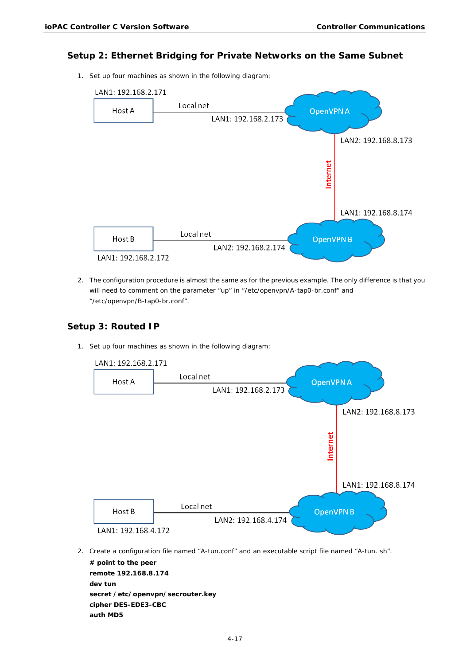## **Setup 2: Ethernet Bridging for Private Networks on the Same Subnet**

1. Set up four machines as shown in the following diagram:



2. The configuration procedure is almost the same as for the previous example. The only difference is that you will need to comment on the parameter "up" in "/etc/openvpn/A-tap0-br.conf" and "/etc/openvpn/B-tap0-br.conf".

## **Setup 3: Routed IP**

1. Set up four machines as shown in the following diagram:



2. Create a configuration file named "A-tun.conf" and an executable script file named "A-tun. sh".

**# point to the peer remote 192.168.8.174 dev tun secret /etc/openvpn/secrouter.key cipher DES-EDE3-CBC auth MD5**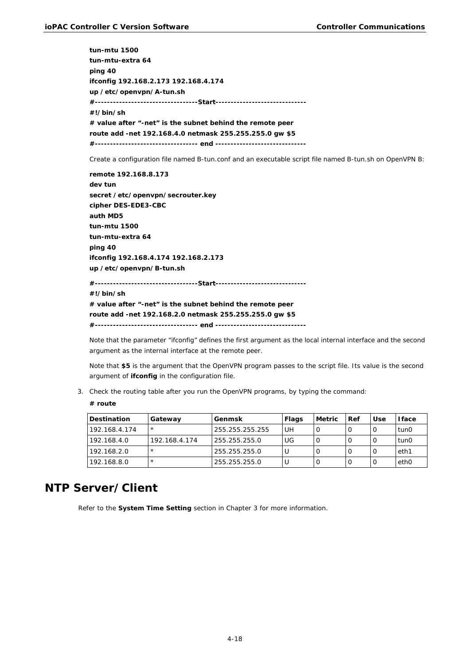**tun-mtu 1500 tun-mtu-extra 64 ping 40 ifconfig 192.168.2.173 192.168.4.174 up /etc/openvpn/A-tun.sh #----------------------------------Start------------------------------ #!/bin/sh # value after "-net" is the subnet behind the remote peer route add -net 192.168.4.0 netmask 255.255.255.0 gw \$5 #---------------------------------- end ------------------------------**

Create a configuration file named B-tun.conf and an executable script file named B-tun.sh on OpenVPN B:

**remote 192.168.8.173 dev tun secret /etc/openvpn/secrouter.key cipher DES-EDE3-CBC auth MD5 tun-mtu 1500 tun-mtu-extra 64 ping 40 ifconfig 192.168.4.174 192.168.2.173 up /etc/openvpn/B-tun.sh #----------------------------------Start------------------------------ #!/bin/sh # value after "-net" is the subnet behind the remote peer route add -net 192.168.2.0 netmask 255.255.255.0 gw \$5 #---------------------------------- end ------------------------------**

Note that the parameter "ifconfig" defines the first argument as the local internal interface and the second argument as the internal interface at the remote peer.

Note that **\$5** is the argument that the OpenVPN program passes to the script file. Its value is the second argument of **ifconfig** in the configuration file.

3. Check the routing table after you run the OpenVPN programs, by typing the command:

### **# route**

| <b>Destination</b> | Gateway       | Genmsk          | <b>Flags</b> | <b>Metric</b> | l Ref | Use | <b>I</b> face    |
|--------------------|---------------|-----------------|--------------|---------------|-------|-----|------------------|
| 192.168.4.174      | $\star$       | 255.255.255.255 | UH           |               |       |     | tun0             |
| 192.168.4.0        | 192.168.4.174 | 255.255.255.0   | UG           |               |       |     | tun0             |
| 192.168.2.0        | $\star$       | 255.255.255.0   |              |               |       |     | eth1             |
| 192.168.8.0        | $\star$       | 255.255.255.0   |              |               |       |     | eth <sub>0</sub> |

# <span id="page-41-0"></span>**NTP Server/Client**

Refer to the **[System Time Setting](#page-20-0)** section in Chapter 3 for more information.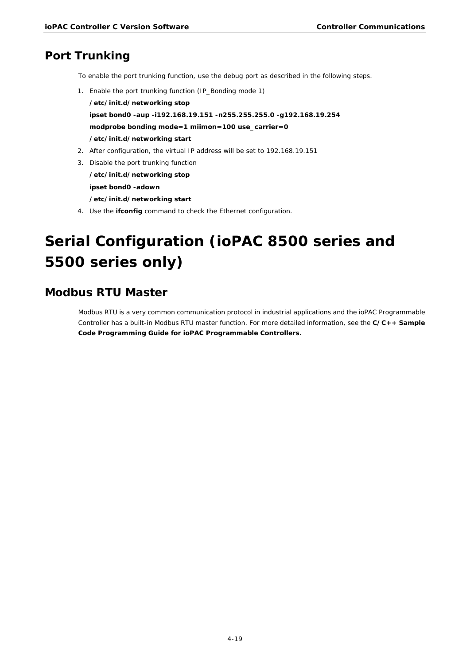# <span id="page-42-0"></span>**Port Trunking**

- To enable the port trunking function, use the debug port as described in the following steps.
- 1. Enable the port trunking function (IP\_Bonding mode 1)

**/etc/init.d/networking stop ipset bond0 -aup -i192.168.19.151 -n255.255.255.0 -g192.168.19.254 modprobe bonding mode=1 miimon=100 use\_carrier=0 /etc/init.d/networking start**

- 2. After configuration, the virtual IP address will be set to 192.168.19.151
- 3. Disable the port trunking function **/etc/init.d/networking stop ipset bond0 -adown /etc/init.d/networking start**
- 4. Use the **ifconfig** command to check the Ethernet configuration.

# <span id="page-42-1"></span>**Serial Configuration (ioPAC 8500 series and 5500 series only)**

# <span id="page-42-2"></span>**Modbus RTU Master**

Modbus RTU is a very common communication protocol in industrial applications and the ioPAC Programmable Controller has a built-in Modbus RTU master function. For more detailed information, see the **C/C++ Sample Code Programming Guide for ioPAC Programmable Controllers.**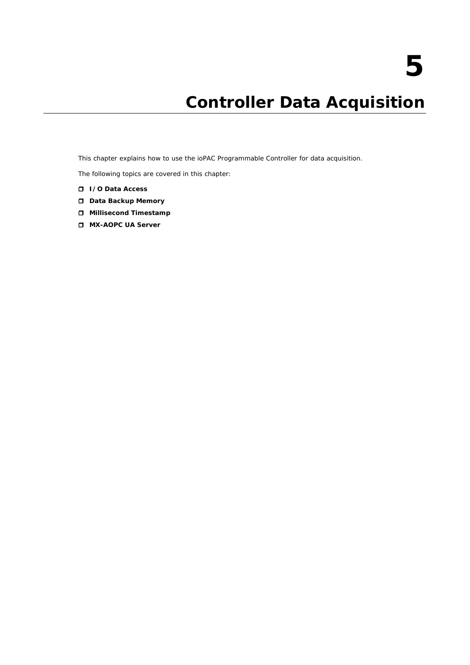# **5. Controller Data Acquisition**

<span id="page-43-0"></span>This chapter explains how to use the ioPAC Programmable Controller for data acquisition.

The following topics are covered in this chapter:

- **[I/O Data Access](#page-44-0)**
- **[Data Backup Memory](#page-44-1)**
- **[Millisecond Timestamp](#page-44-2)**
- **[MX-AOPC UA](#page-45-0) Server**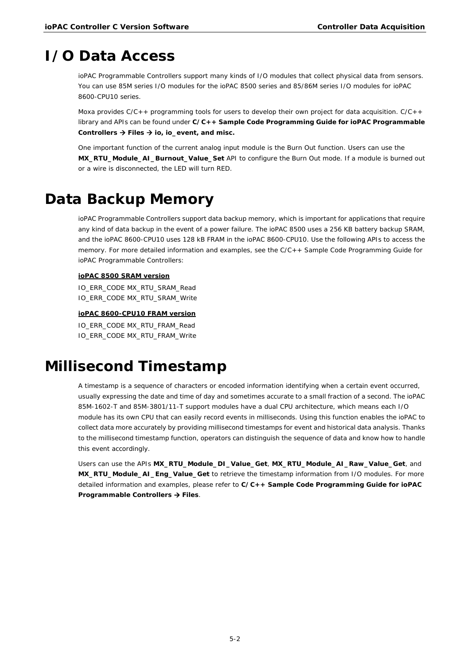# <span id="page-44-0"></span>**I/O Data Access**

ioPAC Programmable Controllers support many kinds of I/O modules that collect physical data from sensors. You can use 85M series I/O modules for the ioPAC 8500 series and 85/86M series I/O modules for ioPAC 8600-CPU10 series.

Moxa provides C/C++ programming tools for users to develop their own project for data acquisition. C/C++ library and APIs can be found under **C/C++ Sample Code Programming Guide for ioPAC Programmable Controllers Files io, io\_event, and misc.**

One important function of the current analog input module is the Burn Out function. Users can use the **MX\_RTU\_Module\_AI\_Burnout\_Value\_Set** API to configure the Burn Out mode. If a module is burned out or a wire is disconnected, the LED will turn RED.

# <span id="page-44-1"></span>**Data Backup Memory**

ioPAC Programmable Controllers support data backup memory, which is important for applications that require any kind of data backup in the event of a power failure. The ioPAC 8500 uses a 256 KB battery backup SRAM, and the ioPAC 8600-CPU10 uses 128 kB FRAM in the ioPAC 8600-CPU10. Use the following APIs to access the memory. For more detailed information and examples, see the C/C++ Sample Code Programming Guide for ioPAC Programmable Controllers:

## **ioPAC 8500 SRAM version**

IO\_ERR\_CODE MX\_RTU\_SRAM\_Read IO\_ERR\_CODE MX\_RTU\_SRAM\_Write

### **ioPAC 8600-CPU10 FRAM version**

IO\_ERR\_CODE MX\_RTU\_FRAM\_Read IO\_ERR\_CODE MX\_RTU\_FRAM\_Write

# <span id="page-44-2"></span>**Millisecond Timestamp**

A timestamp is a sequence of characters or encoded information identifying when a certain event occurred, usually expressing the date and time of day and sometimes accurate to a small fraction of a second. The ioPAC 85M-1602-T and 85M-3801/11-T support modules have a dual CPU architecture, which means each I/O module has its own CPU that can easily record events in milliseconds. Using this function enables the ioPAC to collect data more accurately by providing millisecond timestamps for event and historical data analysis. Thanks to the millisecond timestamp function, operators can distinguish the sequence of data and know how to handle this event accordingly.

Users can use the APIs **MX\_RTU\_Module\_DI\_Value\_Get**, **MX\_RTU\_Module\_AI\_Raw\_Value\_Get**, and **MX\_RTU\_Module\_AI\_Eng\_Value\_Get** to retrieve the timestamp information from I/O modules. For more detailed information and examples, please refer to **C/C++ Sample Code Programming Guide for ioPAC Programmable Controllers → Files.**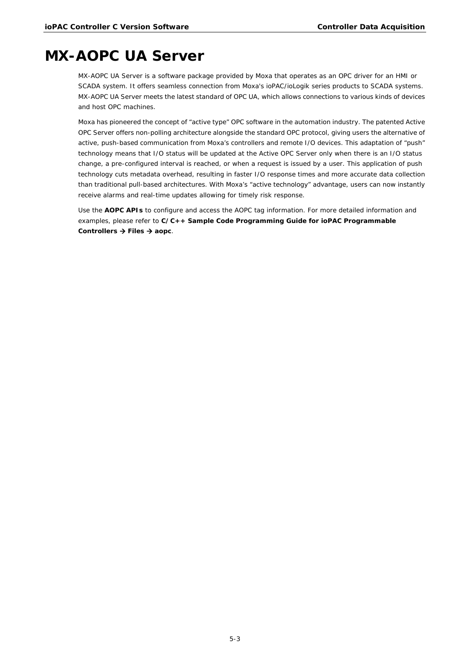# <span id="page-45-0"></span>**MX-AOPC UA Server**

MX-AOPC UA Server is a software package provided by Moxa that operates as an OPC driver for an HMI or SCADA system. It offers seamless connection from Moxa's ioPAC/ioLogik series products to SCADA systems. MX-AOPC UA Server meets the latest standard of OPC UA, which allows connections to various kinds of devices and host OPC machines.

Moxa has pioneered the concept of "active type" OPC software in the automation industry. The patented Active OPC Server offers non-polling architecture alongside the standard OPC protocol, giving users the alternative of active, push-based communication from Moxa's controllers and remote I/O devices. This adaptation of "push" technology means that I/O status will be updated at the Active OPC Server only when there is an I/O status change, a pre-configured interval is reached, or when a request is issued by a user. This application of push technology cuts metadata overhead, resulting in faster I/O response times and more accurate data collection than traditional pull-based architectures. With Moxa's "active technology" advantage, users can now instantly receive alarms and real-time updates allowing for timely risk response.

Use the **AOPC APIs** to configure and access the AOPC tag information. For more detailed information and examples, please refer to **C/C++ Sample Code Programming Guide for ioPAC Programmable Controllers Files aopc**.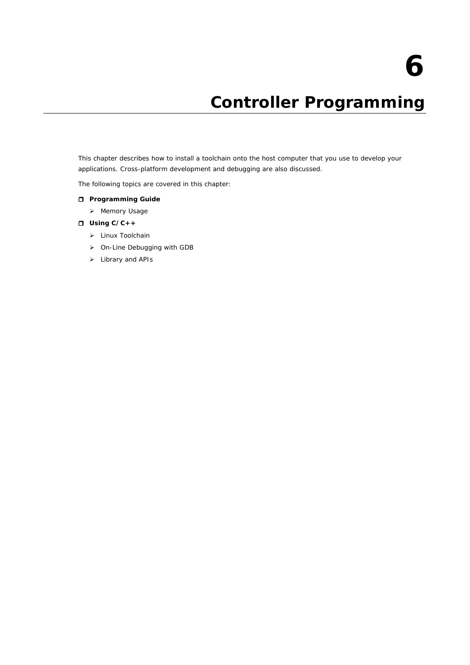# **6. Controller Programming**

<span id="page-46-0"></span>This chapter describes how to install a toolchain onto the host computer that you use to develop your applications. Cross-platform development and debugging are also discussed.

The following topics are covered in this chapter:

- **[Programming Guide](#page-47-0)**
	- > [Memory Usage](#page-47-1)
- **[Using C/C++](#page-47-2)**
	- > [Linux Toolchain](#page-47-3)
	- [On-Line Debugging with GDB](#page-49-0)
	- > [Library and APIs](#page-49-1)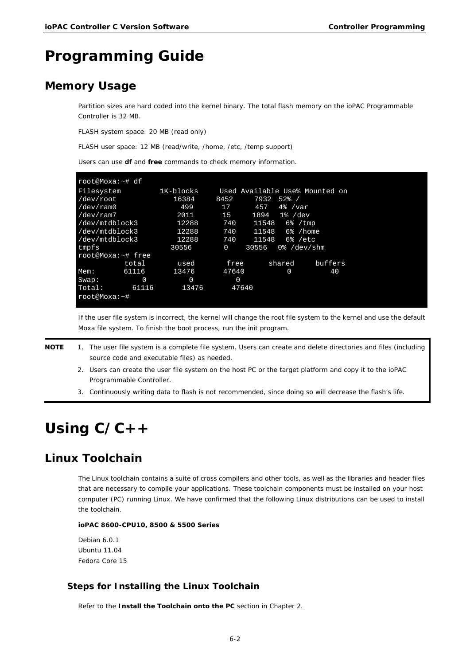# <span id="page-47-0"></span>**Programming Guide**

# <span id="page-47-1"></span>**Memory Usage**

Partition sizes are hard coded into the kernel binary. The total flash memory on the ioPAC Programmable Controller is 32 MB.

FLASH system space: 20 MB (read only)

FLASH user space: 12 MB (read/write, /home, /etc, /temp support)

Users can use **df** and **free** commands to check memory information.

| root@Moxa:~# df   |       |           |          |                            |            |                                |
|-------------------|-------|-----------|----------|----------------------------|------------|--------------------------------|
| Filesystem        |       | 1K-blocks |          |                            |            | Used Available Use% Mounted on |
| /dev/root         |       | 16384     | 8452     | 7932                       | $52%$ /    |                                |
| /dev/ram0         |       | 499       | 17       | 457                        | $4\%$ /var |                                |
| /dev/ram7         |       | 2011      | 15       | $1894$ $1\frac{6}{5}$ /dev |            |                                |
| /dev/mtdblock3    |       | 12288     | 740      | 11548                      |            | $6\%$ / tmp                    |
| /dev/mtdblock3    |       | 12288     | 740      | 11548                      |            | 6% /home                       |
| /dev/mtdblock3    |       | 12288     | 740      | 11548                      |            | $6\%$ /etc                     |
| tmpfs             |       | 30556     | $\Omega$ | 30556                      |            | $0\%$ /dev/shm                 |
| root@Moxa:~# free |       |           |          |                            |            |                                |
|                   | total | used      | free     |                            | shared     | buffers                        |
| Mem:              | 61116 | 13476     | 47640    |                            | $\Omega$   | 40                             |
| Swap:             | 0     | 0         | 0        |                            |            |                                |
| Total:<br>61116   |       | 13476     | 47640    |                            |            |                                |
| root@Moxa:~#      |       |           |          |                            |            |                                |
|                   |       |           |          |                            |            |                                |

If the user file system is incorrect, the kernel will change the root file system to the kernel and use the default Moxa file system. To finish the boot process, run the init program.

**NOTE** 1. The user file system is a complete file system. Users can create and delete directories and files (including source code and executable files) as needed.

- 2. Users can create the user file system on the host PC or the target platform and copy it to the ioPAC Programmable Controller.
- 3. Continuously writing data to flash is not recommended, since doing so will decrease the flash's life.

# <span id="page-47-2"></span>**Using C/C++**

# <span id="page-47-3"></span>**Linux Toolchain**

The Linux toolchain contains a suite of cross compilers and other tools, as well as the libraries and header files that are necessary to compile your applications. These toolchain components must be installed on your host computer (PC) running Linux. We have confirmed that the following Linux distributions can be used to install the toolchain.

## **ioPAC 8600-CPU10, 8500 & 5500 Series**

Debian 6.0.1 Ubuntu 11.04 Fedora Core 15

## **Steps for Installing the Linux Toolchain**

Refer to the **Install the Toolchain onto the PC** section in Chapter 2.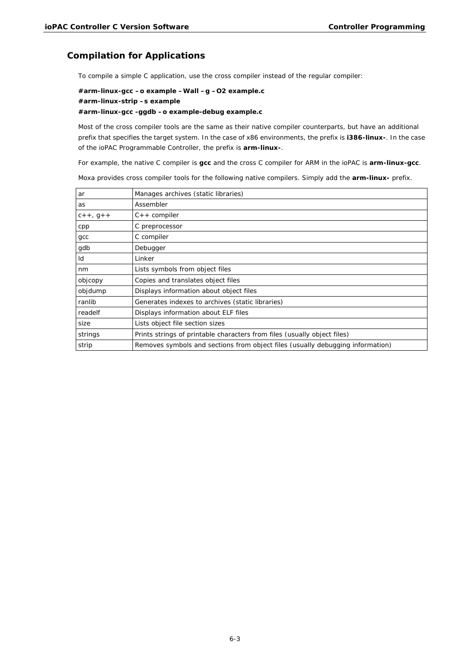## **Compilation for Applications**

To compile a simple C application, use the cross compiler instead of the regular compiler:

**#arm-linux-gcc –o example –Wall –g –O2 example.c #arm-linux-strip –s example #arm-linux-gcc -ggdb –o example-debug example.c**

Most of the cross compiler tools are the same as their native compiler counterparts, but have an additional prefix that specifies the target system. In the case of x86 environments, the prefix is **i386-linux-**. In the case of the ioPAC Programmable Controller, the prefix is **arm-linux-**.

For example, the native C compiler is **gcc** and the cross C compiler for ARM in the ioPAC is **arm-linux-gcc**.

Moxa provides cross compiler tools for the following native compilers. Simply add the **arm-linux-** prefix.

| ar         | Manages archives (static libraries)                                            |
|------------|--------------------------------------------------------------------------------|
| as         | Assembler                                                                      |
| $C++, G++$ | $C++$ compiler                                                                 |
| cpp        | C preprocessor                                                                 |
| gcc        | C compiler                                                                     |
| gdb        | Debugger                                                                       |
| Id         | Linker                                                                         |
| nm         | Lists symbols from object files                                                |
| objcopy    | Copies and translates object files                                             |
| objdump    | Displays information about object files                                        |
| ranlib     | Generates indexes to archives (static libraries)                               |
| readelf    | Displays information about ELF files                                           |
| size       | Lists object file section sizes                                                |
| strings    | Prints strings of printable characters from files (usually object files)       |
| strip      | Removes symbols and sections from object files (usually debugging information) |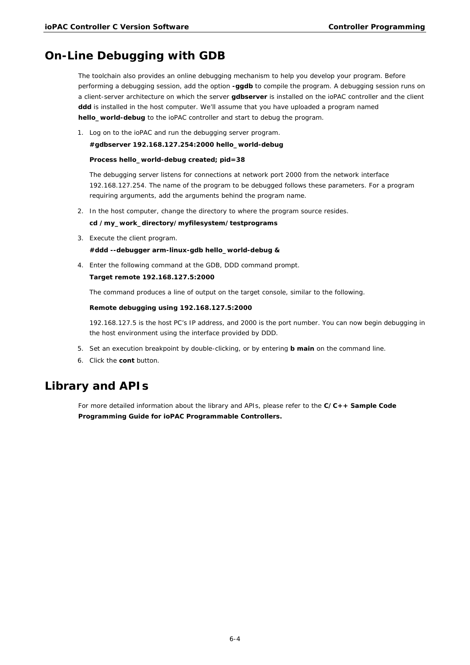# <span id="page-49-0"></span>**On-Line Debugging with GDB**

The toolchain also provides an online debugging mechanism to help you develop your program. Before performing a debugging session, add the option **-ggdb** to compile the program. A debugging session runs on a client-server architecture on which the server **gdbserver** is installed on the ioPAC controller and the client **ddd** is installed in the host computer. We'll assume that you have uploaded a program named **hello\_world-debug** to the ioPAC controller and start to debug the program.

1. Log on to the ioPAC and run the debugging server program.

### **#gdbserver 192.168.127.254:2000 hello\_world-debug**

### **Process hello\_world-debug created; pid=38**

The debugging server listens for connections at network port 2000 from the network interface 192.168.127.254. The name of the program to be debugged follows these parameters. For a program requiring arguments, add the arguments behind the program name.

2. In the host computer, change the directory to where the program source resides.

### **cd /my\_work\_directory/myfilesystem/testprograms**

3. Execute the client program.

**#ddd --debugger arm-linux-gdb hello\_world-debug &**

4. Enter the following command at the GDB, DDD command prompt.

## **Target remote 192.168.127.5:2000**

The command produces a line of output on the target console, similar to the following.

### **Remote debugging using 192.168.127.5:2000**

192.168.127.5 is the host PC's IP address, and 2000 is the port number. You can now begin debugging in the host environment using the interface provided by DDD.

- 5. Set an execution breakpoint by double-clicking, or by entering **b main** on the command line.
- 6. Click the **cont** button.

# <span id="page-49-1"></span>**Library and APIs**

For more detailed information about the library and APIs, please refer to the **C/C++ Sample Code Programming Guide for ioPAC Programmable Controllers.**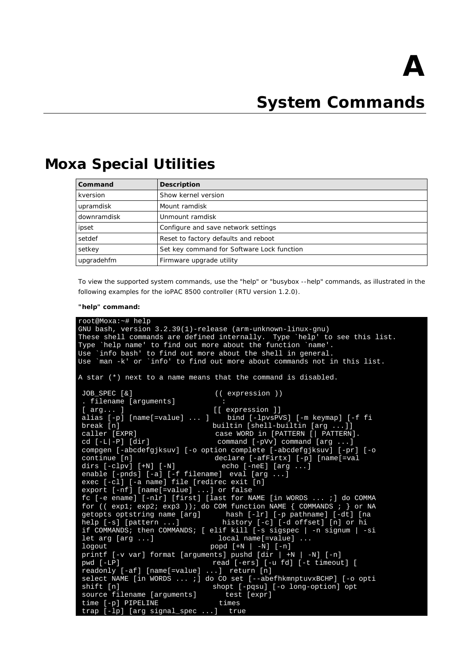# **A. System Commands**

# <span id="page-50-1"></span><span id="page-50-0"></span>**Moxa Special Utilities**

| Command     | Description                                |
|-------------|--------------------------------------------|
| kversion    | Show kernel version                        |
| upramdisk   | Mount ramdisk                              |
| downramdisk | Unmount ramdisk                            |
| ipset       | Configure and save network settings        |
| setdef      | Reset to factory defaults and reboot       |
| setkey      | Set key command for Software Lock function |
| upgradehfm  | Firmware upgrade utility                   |

To view the supported system commands, use the "help" or "busybox --help" commands, as illustrated in the following examples for the ioPAC 8500 controller (RTU version 1.2.0).

#### **"help" command:**

```
root@Moxa:~# help
GNU bash, version 3.2.39(1)-release (arm-unknown-linux-gnu)
These shell commands are defined internally. Type `help' to see this list.<br>Type `help name' to find out more about the function `name'.
        `help name' to find out more about the function `name'.
Use `info bash' to find out more about the shell in general.
Use `man -k' or `info' to find out more about commands not in this list.
A star (*) next to a name means that the command is disabled.
 JOB_SPEC [&] (( expression ))
 . filename [arguments]<br>[ arg... ]
 [ arg... ] [[ expression ]]<br>alias [-p] [name[=value] ... ] bind [-lpvsP\
 alias [-p] [name[=value] ... ] bind [-lpvsPVS] [-m keymap] [-f fi<br>break [n] builtin [shell-builtin [arg ...]]
 break [n] builtin [shell-builtin [arg ...]]<br>caller [EXPR] case WORD in [PATTERN [| PATTERN]
 caller [EXPR] case WORD in [PATTERN [| PATTERN].<br>cd [-L|-P] [dir] command [-pVv] command [arg ...]
                                            command [-pVv] command [arg \dots]compgen [-abcdefgjksuv] [-o option complete [-abcdefgjksuv] [-pr] [-o<br>continue [n] declare [-afFirtx] [-p] [name[=val
                                            declare [-afFirtx] [-p] [name[=val<br>echo [-neE] [arg ...]
 dirs [-c]pv] [+N] [-N]enable [-pnds] [-a] [-f filename] eval [arg ...]
 exec [-cl] [-a name] file [redirec exit [n]
 export [-nf] [name[=value] ...] or false
 fc [-e ename] [-nlr] [first] [last for NAME [in WORDS ... ;] do COMMA
 for (( exp1; exp2; exp3 )); do COM function NAME { COMMANDS ; } or NA getopts optstring name [arg] hash [-lr] [-p pathname] [-dt] [na
 getopts optstring name [arg] hash [-lr] [-p pathname] [-dt] [na
 help [-s] [pattern ...] history [-c] [-d offset] [n] or hi
 if COMMANDS; then COMMANDS; [ elif kill [-s sigspec | -n signum | -si
 let arg [arg ...] \qquad \qquad local name[=value] ...<br>logout \rule{1em}{0.15mm} \qquad \qquad \qquad \qquad \qquad \qquad \qquad \qquad \qquad \qquad \qquad \qquad \qquad \qquad \qquad \qquad \qquad \qquad \qquad \qquad \qquad \qquad \qquad \qquad \qquad \qlogout popd [+N \mid -N] [-n]printf [-v var] format [arguments] pushd [dir | +N | -N] [-n]
 pwd [-LP] read [-ers] [-u fd] [-t timeout] [<br>readonly [-af] [name[=value] ...] return [n]
 realreadonly [-af] [name[=value]
 select NAME [in WORDS ... ;] do CO set [--abefhkmnptuvxBCHP] [-o opti<br>shift [n] shopt [-pqsu] [-o long-option] opt
                                           shopt [-pqsu] [-o long-option] opt<br>test [expr]
 source filename [arguments] test<br>time [-p] PIPELINE times
 time [-p] PIPELINE times<br>trap [-lp] [arg signal_spec ...] true
 trap [-\overline{\ln}] [arg signal_spec ...]
```